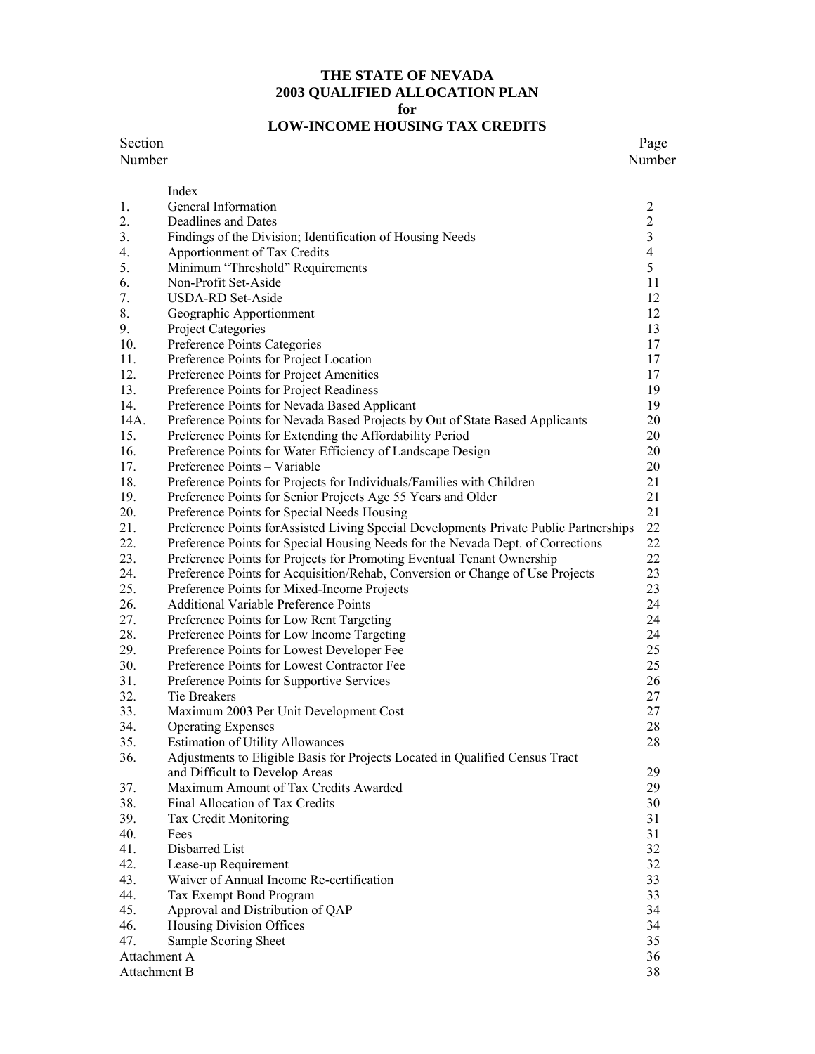#### **THE STATE OF NEVADA 2003 QUALIFIED ALLOCATION PLAN for**

# **LOW-INCOME HOUSING TAX CREDITS**

#### Section Page Number Number

|              | Index                                                                                  |                          |
|--------------|----------------------------------------------------------------------------------------|--------------------------|
| 1.           | General Information                                                                    | $\overline{c}$           |
| 2.           | Deadlines and Dates                                                                    | $\sqrt{2}$               |
| 3.           | Findings of the Division; Identification of Housing Needs                              | $\mathfrak{Z}$           |
| 4.           | Apportionment of Tax Credits                                                           | $\overline{\mathcal{A}}$ |
| 5.           | Minimum "Threshold" Requirements                                                       | 5                        |
| 6.           | Non-Profit Set-Aside                                                                   | 11                       |
| 7.           | <b>USDA-RD Set-Aside</b>                                                               | 12                       |
| 8.           | Geographic Apportionment                                                               | 12                       |
| 9.           | Project Categories                                                                     | 13                       |
| 10.          | Preference Points Categories                                                           | 17                       |
| 11.          | Preference Points for Project Location                                                 | 17                       |
| 12.          | Preference Points for Project Amenities                                                | 17                       |
| 13.          | Preference Points for Project Readiness                                                | 19                       |
| 14.          | Preference Points for Nevada Based Applicant                                           | 19                       |
| 14A.         | Preference Points for Nevada Based Projects by Out of State Based Applicants           | 20                       |
| 15.          | Preference Points for Extending the Affordability Period                               | 20                       |
| 16.          | Preference Points for Water Efficiency of Landscape Design                             | 20                       |
| 17.          | Preference Points - Variable                                                           | 20                       |
| 18.          | Preference Points for Projects for Individuals/Families with Children                  | 21                       |
| 19.          | Preference Points for Senior Projects Age 55 Years and Older                           | 21                       |
| 20.          | Preference Points for Special Needs Housing                                            | 21                       |
| 21.          | Preference Points for Assisted Living Special Developments Private Public Partnerships | 22                       |
| 22.          | Preference Points for Special Housing Needs for the Nevada Dept. of Corrections        | 22                       |
| 23.          | Preference Points for Projects for Promoting Eventual Tenant Ownership                 | 22                       |
| 24.          | Preference Points for Acquisition/Rehab, Conversion or Change of Use Projects          | 23                       |
| 25.          | Preference Points for Mixed-Income Projects                                            | 23                       |
| 26.          | Additional Variable Preference Points                                                  | 24                       |
| 27.          | Preference Points for Low Rent Targeting                                               | 24                       |
| 28.          | Preference Points for Low Income Targeting                                             | 24                       |
| 29.          | Preference Points for Lowest Developer Fee                                             | 25                       |
| 30.          | Preference Points for Lowest Contractor Fee                                            | 25                       |
| 31.          |                                                                                        | 26                       |
| 32.          | Preference Points for Supportive Services<br>Tie Breakers                              | 27                       |
| 33.          |                                                                                        | 27                       |
|              | Maximum 2003 Per Unit Development Cost                                                 | 28                       |
| 34.          | <b>Operating Expenses</b>                                                              |                          |
| 35.          | <b>Estimation of Utility Allowances</b>                                                | 28                       |
| 36.          | Adjustments to Eligible Basis for Projects Located in Qualified Census Tract           | 29                       |
|              | and Difficult to Develop Areas                                                         |                          |
| 37.          | Maximum Amount of Tax Credits Awarded                                                  | 29                       |
| 38.          | Final Allocation of Tax Credits                                                        | 30                       |
| 39.          | Tax Credit Monitoring                                                                  | 31                       |
| 40.          | Fees                                                                                   | 31                       |
| 41.          | Disbarred List                                                                         | 32                       |
| 42.          | Lease-up Requirement                                                                   | 32                       |
| 43.          | Waiver of Annual Income Re-certification                                               | 33                       |
| 44.          | Tax Exempt Bond Program                                                                | 33                       |
| 45.          | Approval and Distribution of QAP                                                       | 34                       |
| 46.          | Housing Division Offices                                                               | 34                       |
| 47.          | Sample Scoring Sheet                                                                   | 35                       |
| Attachment A |                                                                                        | 36                       |
| Attachment B |                                                                                        | 38                       |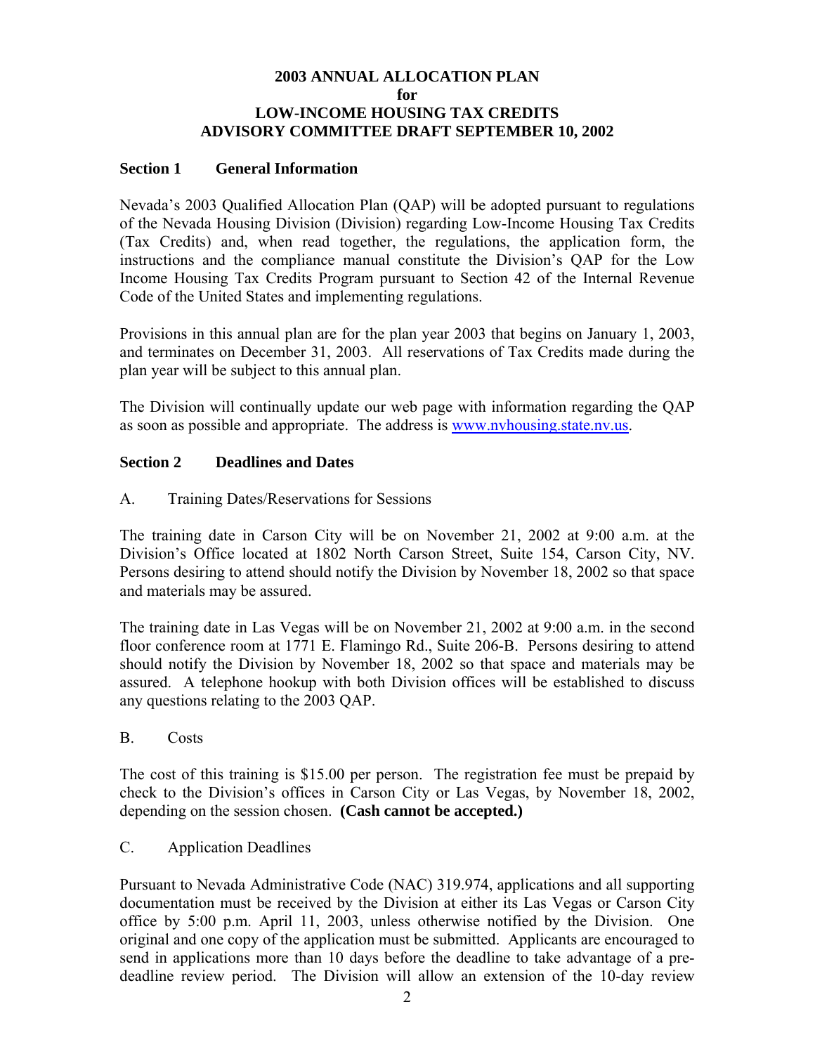#### **2003 ANNUAL ALLOCATION PLAN for LOW-INCOME HOUSING TAX CREDITS ADVISORY COMMITTEE DRAFT SEPTEMBER 10, 2002**

#### **Section 1 General Information**

Nevada's 2003 Qualified Allocation Plan (QAP) will be adopted pursuant to regulations of the Nevada Housing Division (Division) regarding Low-Income Housing Tax Credits (Tax Credits) and, when read together, the regulations, the application form, the instructions and the compliance manual constitute the Division's QAP for the Low Income Housing Tax Credits Program pursuant to Section 42 of the Internal Revenue Code of the United States and implementing regulations.

Provisions in this annual plan are for the plan year 2003 that begins on January 1, 2003, and terminates on December 31, 2003. All reservations of Tax Credits made during the plan year will be subject to this annual plan.

The Division will continually update our web page with information regarding the QAP as soon as possible and appropriate. The address is www.nvhousing.state.nv.us.

#### **Section 2 Deadlines and Dates**

A. Training Dates/Reservations for Sessions

The training date in Carson City will be on November 21, 2002 at 9:00 a.m. at the Division's Office located at 1802 North Carson Street, Suite 154, Carson City, NV. Persons desiring to attend should notify the Division by November 18, 2002 so that space and materials may be assured.

The training date in Las Vegas will be on November 21, 2002 at 9:00 a.m. in the second floor conference room at 1771 E. Flamingo Rd., Suite 206-B. Persons desiring to attend should notify the Division by November 18, 2002 so that space and materials may be assured. A telephone hookup with both Division offices will be established to discuss any questions relating to the 2003 QAP.

#### B. Costs

The cost of this training is \$15.00 per person. The registration fee must be prepaid by check to the Division's offices in Carson City or Las Vegas, by November 18, 2002, depending on the session chosen. **(Cash cannot be accepted.)** 

#### C. Application Deadlines

Pursuant to Nevada Administrative Code (NAC) 319.974, applications and all supporting documentation must be received by the Division at either its Las Vegas or Carson City office by 5:00 p.m. April 11, 2003, unless otherwise notified by the Division. One original and one copy of the application must be submitted. Applicants are encouraged to send in applications more than 10 days before the deadline to take advantage of a predeadline review period. The Division will allow an extension of the 10-day review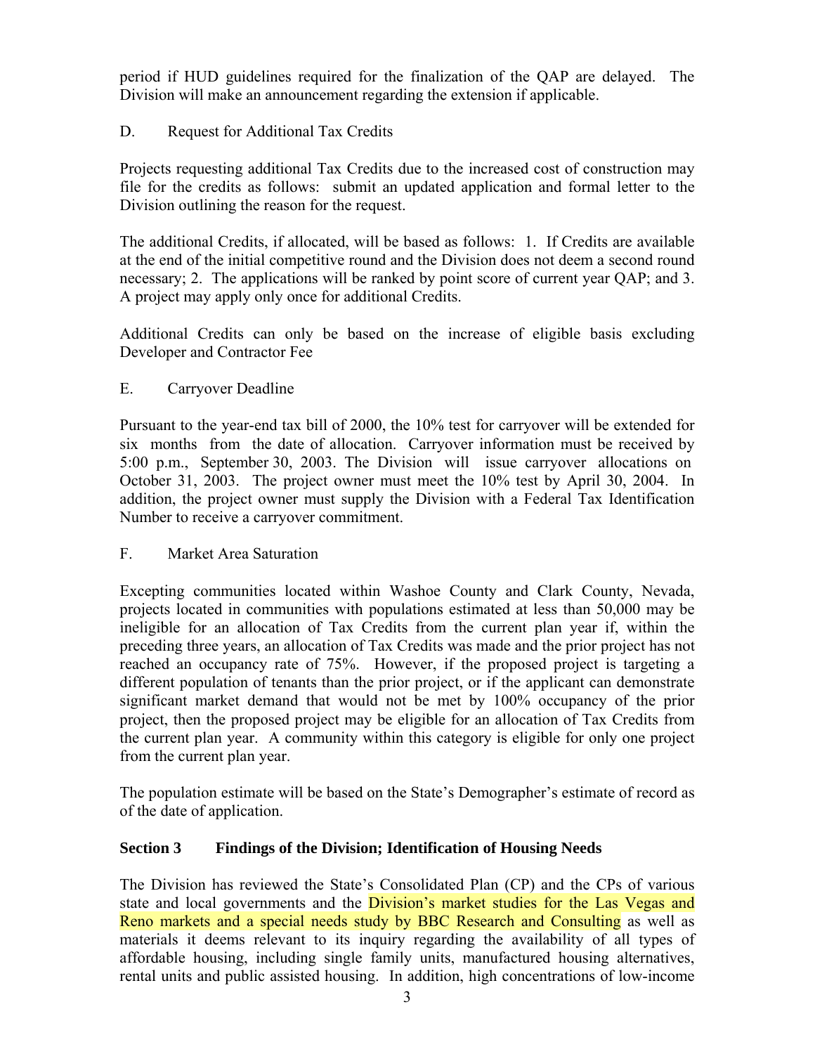period if HUD guidelines required for the finalization of the QAP are delayed. The Division will make an announcement regarding the extension if applicable.

# D. Request for Additional Tax Credits

Projects requesting additional Tax Credits due to the increased cost of construction may file for the credits as follows: submit an updated application and formal letter to the Division outlining the reason for the request.

The additional Credits, if allocated, will be based as follows: 1. If Credits are available at the end of the initial competitive round and the Division does not deem a second round necessary; 2. The applications will be ranked by point score of current year QAP; and 3. A project may apply only once for additional Credits.

Additional Credits can only be based on the increase of eligible basis excluding Developer and Contractor Fee

## E. Carryover Deadline

Pursuant to the year-end tax bill of 2000, the 10% test for carryover will be extended for six months from the date of allocation. Carryover information must be received by 5:00 p.m., September 30, 2003. The Division will issue carryover allocations on October 31, 2003. The project owner must meet the 10% test by April 30, 2004. In addition, the project owner must supply the Division with a Federal Tax Identification Number to receive a carryover commitment.

## F. Market Area Saturation

Excepting communities located within Washoe County and Clark County, Nevada, projects located in communities with populations estimated at less than 50,000 may be ineligible for an allocation of Tax Credits from the current plan year if, within the preceding three years, an allocation of Tax Credits was made and the prior project has not reached an occupancy rate of 75%. However, if the proposed project is targeting a different population of tenants than the prior project, or if the applicant can demonstrate significant market demand that would not be met by 100% occupancy of the prior project, then the proposed project may be eligible for an allocation of Tax Credits from the current plan year. A community within this category is eligible for only one project from the current plan year.

The population estimate will be based on the State's Demographer's estimate of record as of the date of application.

# **Section 3 Findings of the Division; Identification of Housing Needs**

The Division has reviewed the State's Consolidated Plan (CP) and the CPs of various state and local governments and the Division's market studies for the Las Vegas and Reno markets and a special needs study by BBC Research and Consulting as well as materials it deems relevant to its inquiry regarding the availability of all types of affordable housing, including single family units, manufactured housing alternatives, rental units and public assisted housing. In addition, high concentrations of low-income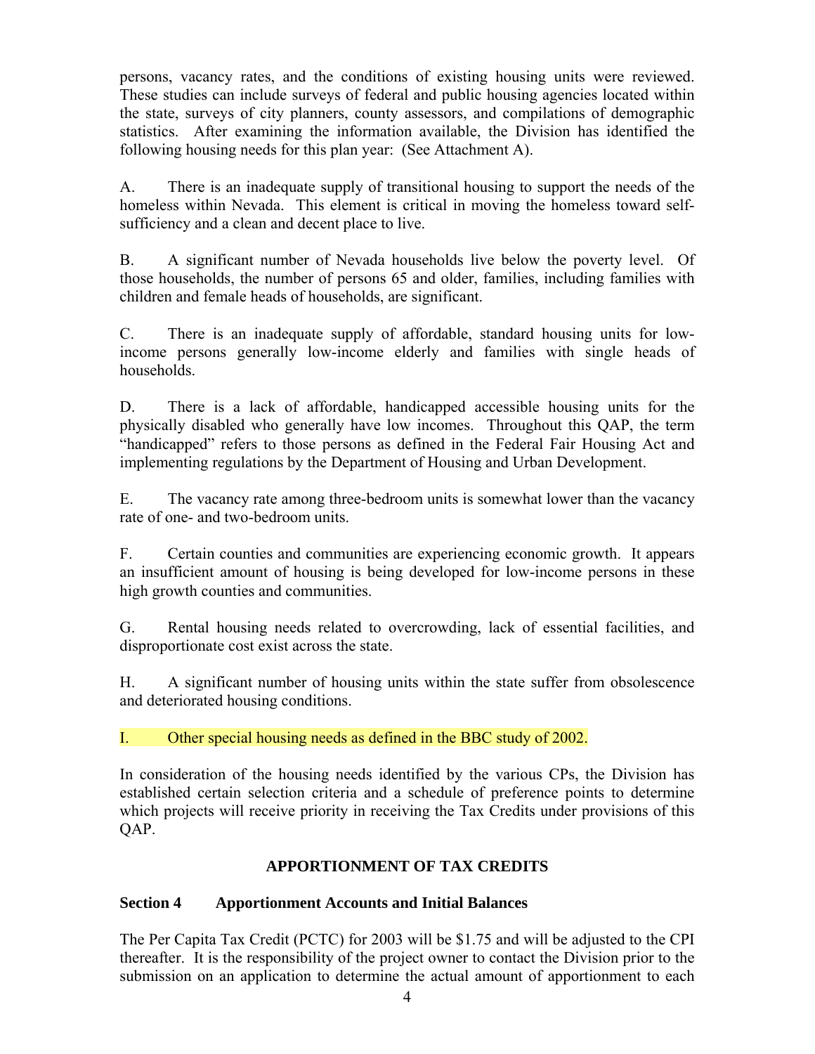persons, vacancy rates, and the conditions of existing housing units were reviewed. These studies can include surveys of federal and public housing agencies located within the state, surveys of city planners, county assessors, and compilations of demographic statistics. After examining the information available, the Division has identified the following housing needs for this plan year: (See Attachment A).

A. There is an inadequate supply of transitional housing to support the needs of the homeless within Nevada. This element is critical in moving the homeless toward selfsufficiency and a clean and decent place to live.

B. A significant number of Nevada households live below the poverty level. Of those households, the number of persons 65 and older, families, including families with children and female heads of households, are significant.

C. There is an inadequate supply of affordable, standard housing units for lowincome persons generally low-income elderly and families with single heads of households.

D. There is a lack of affordable, handicapped accessible housing units for the physically disabled who generally have low incomes. Throughout this QAP, the term "handicapped" refers to those persons as defined in the Federal Fair Housing Act and implementing regulations by the Department of Housing and Urban Development.

E. The vacancy rate among three-bedroom units is somewhat lower than the vacancy rate of one- and two-bedroom units.

F. Certain counties and communities are experiencing economic growth. It appears an insufficient amount of housing is being developed for low-income persons in these high growth counties and communities.

G. Rental housing needs related to overcrowding, lack of essential facilities, and disproportionate cost exist across the state.

H. A significant number of housing units within the state suffer from obsolescence and deteriorated housing conditions.

I. Other special housing needs as defined in the BBC study of 2002.

In consideration of the housing needs identified by the various CPs, the Division has established certain selection criteria and a schedule of preference points to determine which projects will receive priority in receiving the Tax Credits under provisions of this QAP.

# **APPORTIONMENT OF TAX CREDITS**

# **Section 4 Apportionment Accounts and Initial Balances**

The Per Capita Tax Credit (PCTC) for 2003 will be \$1.75 and will be adjusted to the CPI thereafter. It is the responsibility of the project owner to contact the Division prior to the submission on an application to determine the actual amount of apportionment to each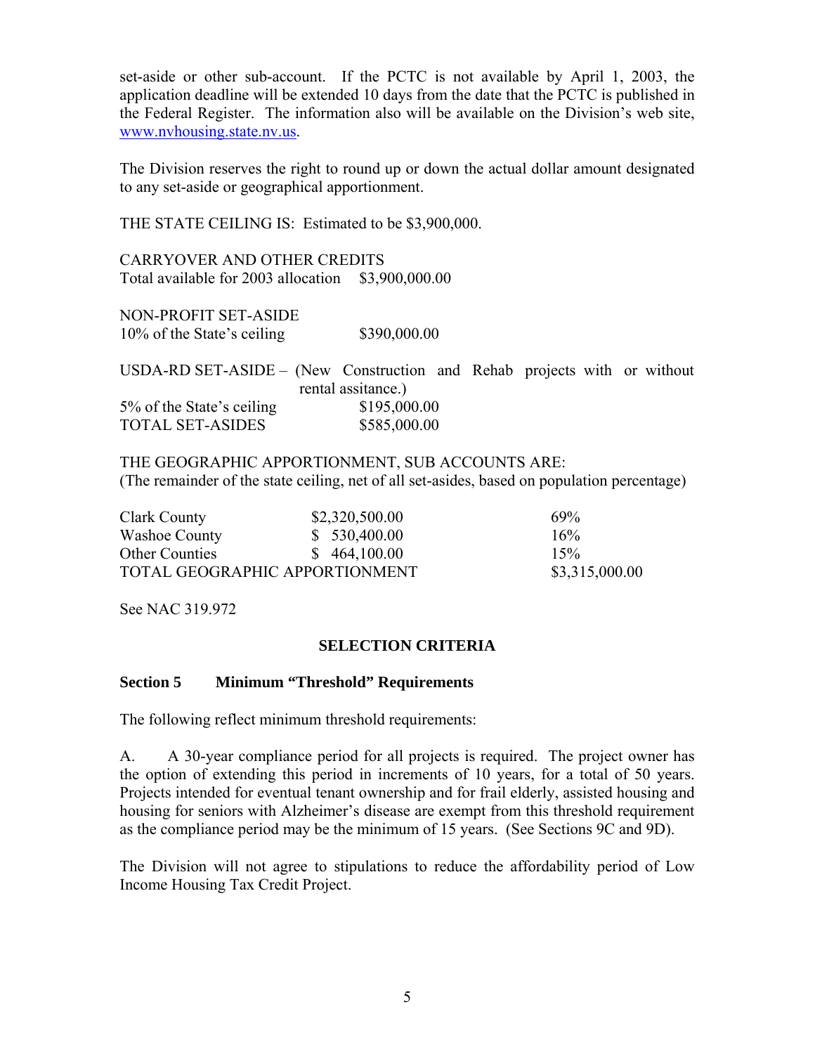set-aside or other sub-account. If the PCTC is not available by April 1, 2003, the application deadline will be extended 10 days from the date that the PCTC is published in the Federal Register. The information also will be available on the Division's web site, www.nvhousing.state.nv.us.

The Division reserves the right to round up or down the actual dollar amount designated to any set-aside or geographical apportionment.

THE STATE CEILING IS: Estimated to be \$3,900,000.

CARRYOVER AND OTHER CREDITS Total available for 2003 allocation \$3,900,000.00

NON-PROFIT SET-ASIDE 10% of the State's ceiling \$390,000.00

USDA-RD SET-ASIDE – (New Construction and Rehab projects with or without rental assitance.) 5% of the State's ceiling \$195,000.00 TOTAL SET-ASIDES \$585,000.00

THE GEOGRAPHIC APPORTIONMENT, SUB ACCOUNTS ARE: (The remainder of the state ceiling, net of all set-asides, based on population percentage)

| Clark County                   | \$2,320,500.00 | 69%            |
|--------------------------------|----------------|----------------|
| Washoe County                  | \$530,400.00   | 16%            |
| <b>Other Counties</b>          | \$464,100.00   | 15%            |
| TOTAL GEOGRAPHIC APPORTIONMENT |                | \$3,315,000.00 |

See NAC 319.972

## **SELECTION CRITERIA**

#### **Section 5 Minimum "Threshold" Requirements**

The following reflect minimum threshold requirements:

A. A 30-year compliance period for all projects is required. The project owner has the option of extending this period in increments of 10 years, for a total of 50 years. Projects intended for eventual tenant ownership and for frail elderly, assisted housing and housing for seniors with Alzheimer's disease are exempt from this threshold requirement as the compliance period may be the minimum of 15 years. (See Sections 9C and 9D).

The Division will not agree to stipulations to reduce the affordability period of Low Income Housing Tax Credit Project.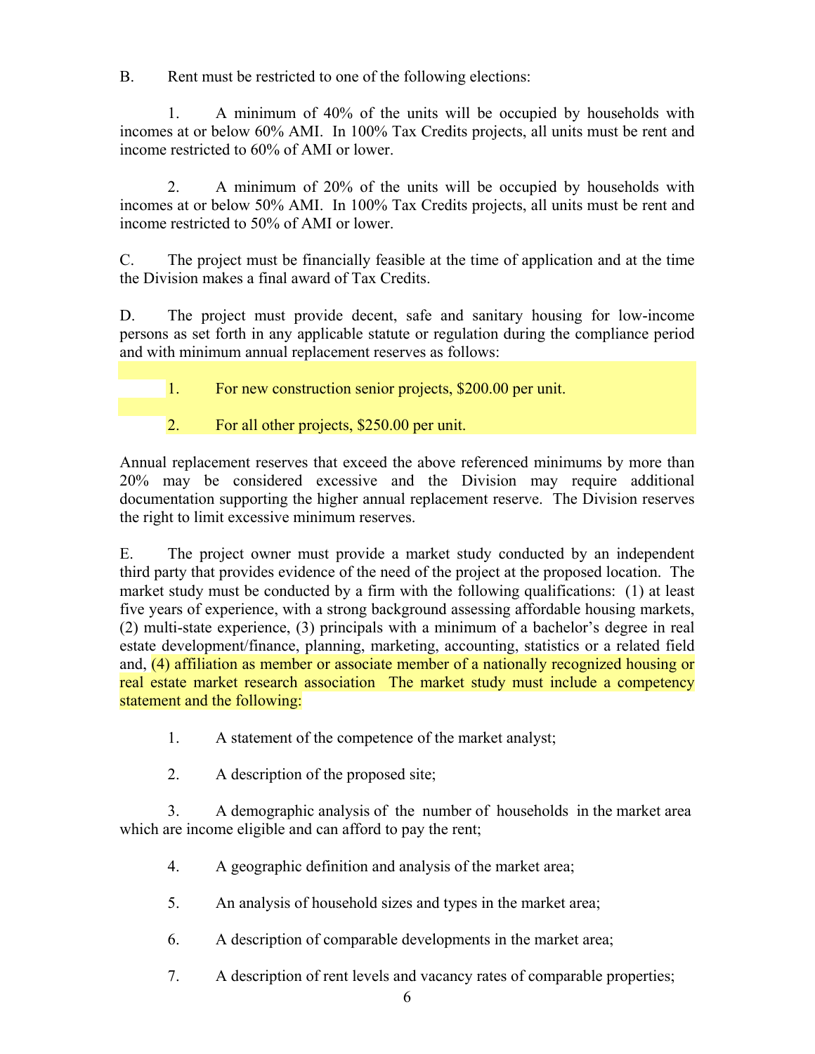B. Rent must be restricted to one of the following elections:

 1. A minimum of 40% of the units will be occupied by households with incomes at or below 60% AMI. In 100% Tax Credits projects, all units must be rent and income restricted to 60% of AMI or lower.

 2. A minimum of 20% of the units will be occupied by households with incomes at or below 50% AMI. In 100% Tax Credits projects, all units must be rent and income restricted to 50% of AMI or lower.

C. The project must be financially feasible at the time of application and at the time the Division makes a final award of Tax Credits.

D. The project must provide decent, safe and sanitary housing for low-income persons as set forth in any applicable statute or regulation during the compliance period and with minimum annual replacement reserves as follows:

1. For new construction senior projects, \$200.00 per unit.

2. For all other projects, \$250.00 per unit.

Annual replacement reserves that exceed the above referenced minimums by more than 20% may be considered excessive and the Division may require additional documentation supporting the higher annual replacement reserve. The Division reserves the right to limit excessive minimum reserves.

E. The project owner must provide a market study conducted by an independent third party that provides evidence of the need of the project at the proposed location. The market study must be conducted by a firm with the following qualifications: (1) at least five years of experience, with a strong background assessing affordable housing markets, (2) multi-state experience, (3) principals with a minimum of a bachelor's degree in real estate development/finance, planning, marketing, accounting, statistics or a related field and, (4) affiliation as member or associate member of a nationally recognized housing or real estate market research association The market study must include a competency statement and the following:

1. A statement of the competence of the market analyst;

2. A description of the proposed site;

3. A demographic analysis of the number of households in the market area which are income eligible and can afford to pay the rent;

- 4. A geographic definition and analysis of the market area;
- 5. An analysis of household sizes and types in the market area;
- 6. A description of comparable developments in the market area;
- 7. A description of rent levels and vacancy rates of comparable properties;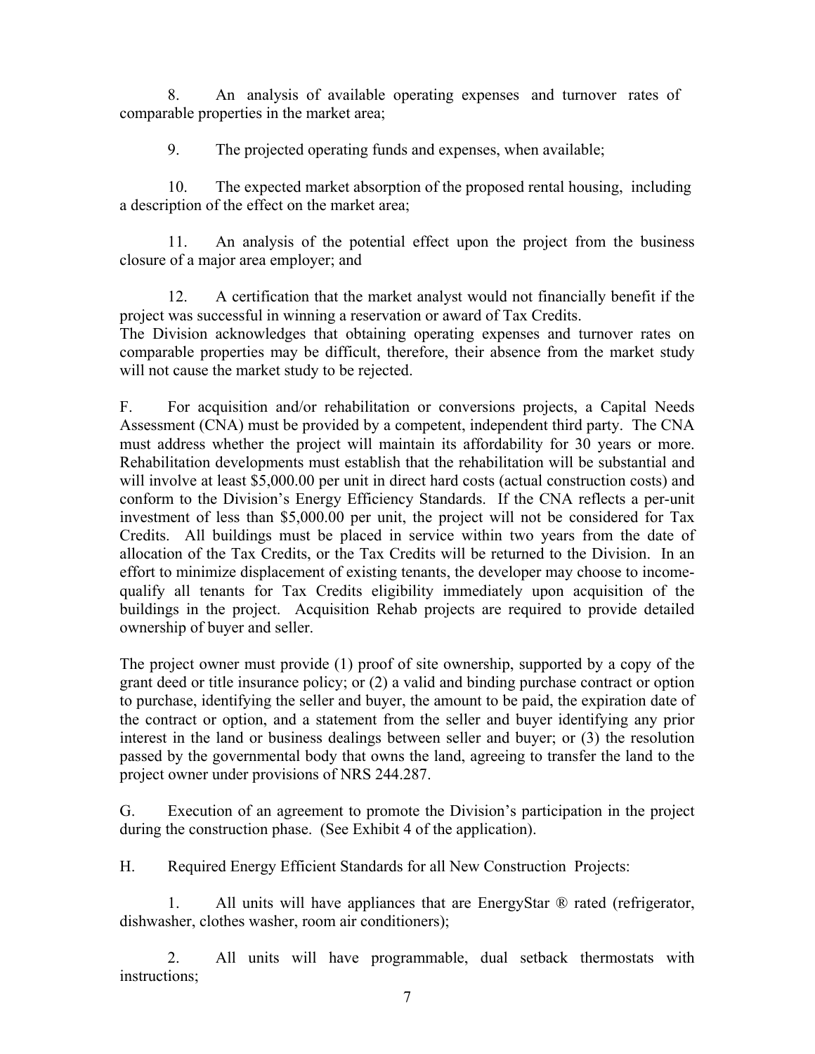8. An analysis of available operating expenses and turnover rates of comparable properties in the market area;

9. The projected operating funds and expenses, when available;

10. The expected market absorption of the proposed rental housing, including a description of the effect on the market area;

 11. An analysis of the potential effect upon the project from the business closure of a major area employer; and

 12. A certification that the market analyst would not financially benefit if the project was successful in winning a reservation or award of Tax Credits.

The Division acknowledges that obtaining operating expenses and turnover rates on comparable properties may be difficult, therefore, their absence from the market study will not cause the market study to be rejected.

F. For acquisition and/or rehabilitation or conversions projects, a Capital Needs Assessment (CNA) must be provided by a competent, independent third party. The CNA must address whether the project will maintain its affordability for 30 years or more. Rehabilitation developments must establish that the rehabilitation will be substantial and will involve at least \$5,000.00 per unit in direct hard costs (actual construction costs) and conform to the Division's Energy Efficiency Standards. If the CNA reflects a per-unit investment of less than \$5,000.00 per unit, the project will not be considered for Tax Credits. All buildings must be placed in service within two years from the date of allocation of the Tax Credits, or the Tax Credits will be returned to the Division. In an effort to minimize displacement of existing tenants, the developer may choose to incomequalify all tenants for Tax Credits eligibility immediately upon acquisition of the buildings in the project. Acquisition Rehab projects are required to provide detailed ownership of buyer and seller.

The project owner must provide (1) proof of site ownership, supported by a copy of the grant deed or title insurance policy; or (2) a valid and binding purchase contract or option to purchase, identifying the seller and buyer, the amount to be paid, the expiration date of the contract or option, and a statement from the seller and buyer identifying any prior interest in the land or business dealings between seller and buyer; or (3) the resolution passed by the governmental body that owns the land, agreeing to transfer the land to the project owner under provisions of NRS 244.287.

G. Execution of an agreement to promote the Division's participation in the project during the construction phase. (See Exhibit 4 of the application).

H. Required Energy Efficient Standards for all New Construction Projects:

1. All units will have appliances that are EnergyStar  $\mathcal{R}$  rated (refrigerator, dishwasher, clothes washer, room air conditioners);

 2. All units will have programmable, dual setback thermostats with instructions;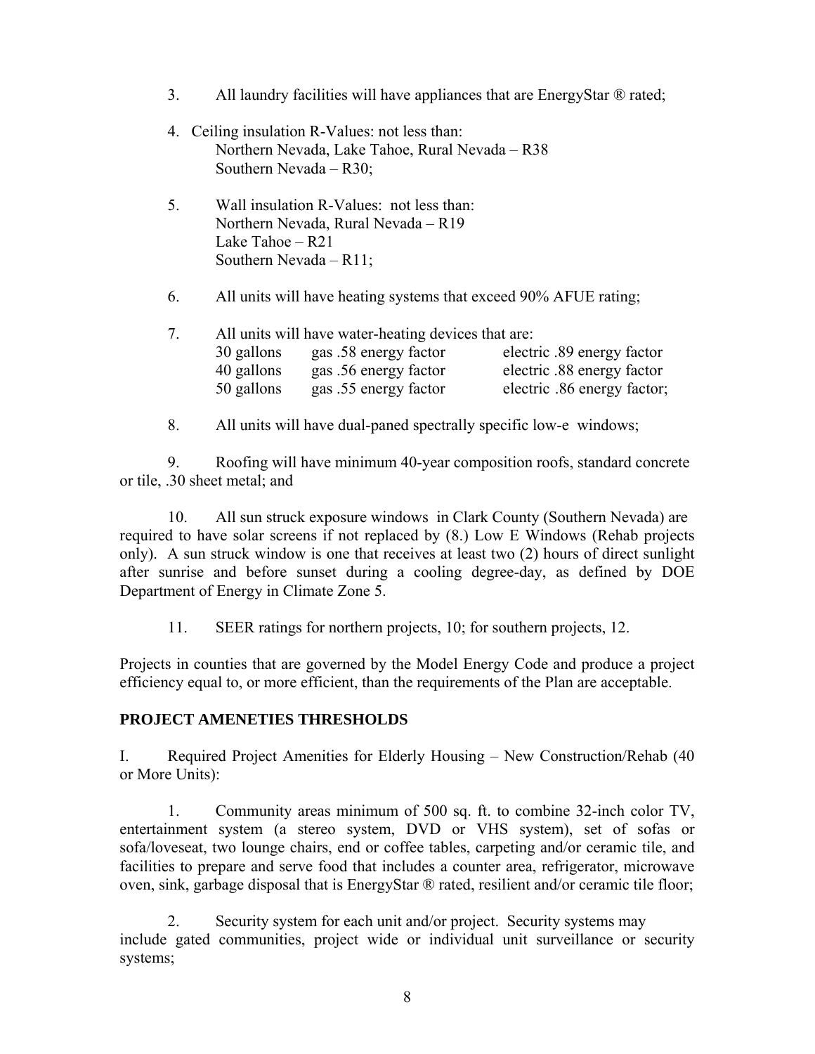- 3. All laundry facilities will have appliances that are EnergyStar ® rated;
- 4. Ceiling insulation R-Values: not less than: Northern Nevada, Lake Tahoe, Rural Nevada – R38 Southern Nevada – R30;
- 5. Wall insulation R-Values: not less than: Northern Nevada, Rural Nevada – R19 Lake Tahoe – R21 Southern Nevada – R11;
- 6. All units will have heating systems that exceed 90% AFUE rating;

| 7. | All units will have water-heating devices that are: |                       |                             |  |  |
|----|-----------------------------------------------------|-----------------------|-----------------------------|--|--|
|    | 30 gallons                                          | gas .58 energy factor | electric .89 energy factor  |  |  |
|    | 40 gallons                                          | gas .56 energy factor | electric .88 energy factor  |  |  |
|    | 50 gallons                                          | gas .55 energy factor | electric .86 energy factor; |  |  |

8. All units will have dual-paned spectrally specific low-e windows;

9. Roofing will have minimum 40-year composition roofs, standard concrete or tile, .30 sheet metal; and

10. All sun struck exposure windows in Clark County (Southern Nevada) are required to have solar screens if not replaced by (8.) Low E Windows (Rehab projects only). A sun struck window is one that receives at least two (2) hours of direct sunlight after sunrise and before sunset during a cooling degree-day, as defined by DOE Department of Energy in Climate Zone 5.

11. SEER ratings for northern projects, 10; for southern projects, 12.

Projects in counties that are governed by the Model Energy Code and produce a project efficiency equal to, or more efficient, than the requirements of the Plan are acceptable.

#### **PROJECT AMENETIES THRESHOLDS**

I. Required Project Amenities for Elderly Housing – New Construction/Rehab (40 or More Units):

 1. Community areas minimum of 500 sq. ft. to combine 32-inch color TV, entertainment system (a stereo system, DVD or VHS system), set of sofas or sofa/loveseat, two lounge chairs, end or coffee tables, carpeting and/or ceramic tile, and facilities to prepare and serve food that includes a counter area, refrigerator, microwave oven, sink, garbage disposal that is EnergyStar ® rated, resilient and/or ceramic tile floor;

2. Security system for each unit and/or project. Security systems may include gated communities, project wide or individual unit surveillance or security systems;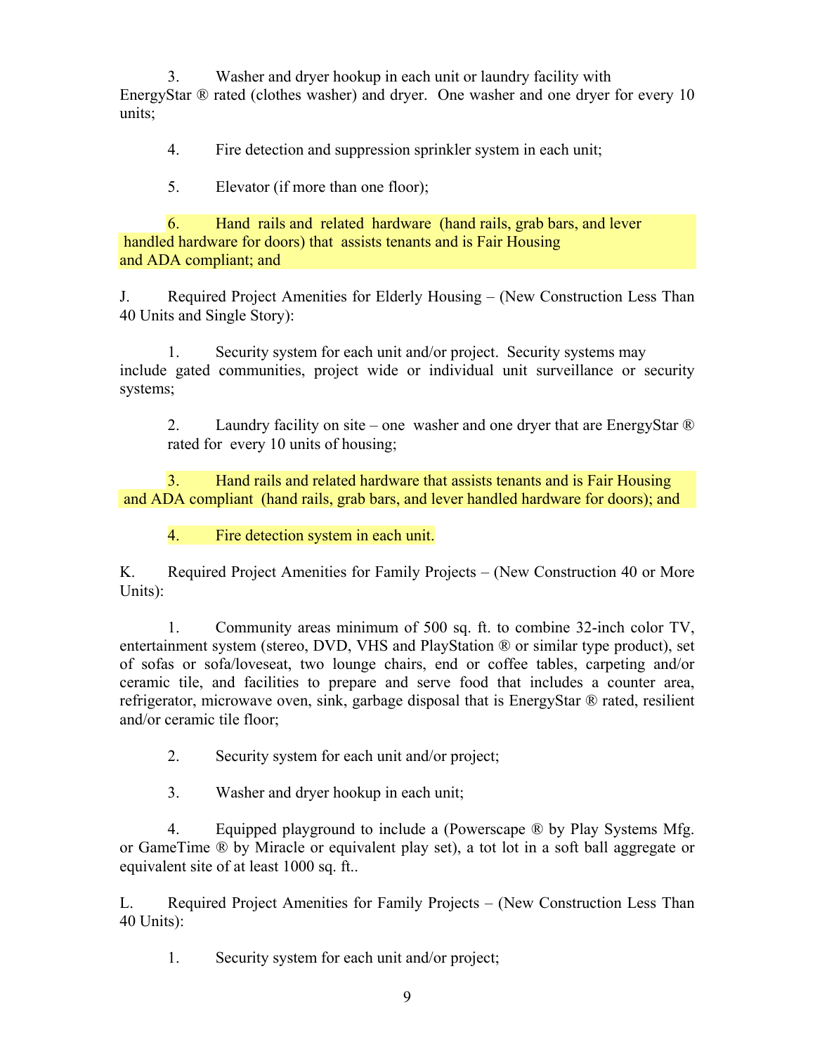3. Washer and dryer hookup in each unit or laundry facility with EnergyStar ® rated (clothes washer) and dryer. One washer and one dryer for every 10 units;

4. Fire detection and suppression sprinkler system in each unit;

5. Elevator (if more than one floor);

6. Hand rails and related hardware (hand rails, grab bars, and lever handled hardware for doors) that assists tenants and is Fair Housing and ADA compliant; and

J. Required Project Amenities for Elderly Housing – (New Construction Less Than 40 Units and Single Story):

1. Security system for each unit and/or project. Security systems may include gated communities, project wide or individual unit surveillance or security systems;

2. Laundry facility on site – one washer and one dryer that are EnergyStar ® rated for every 10 units of housing;

3. Hand rails and related hardware that assists tenants and is Fair Housing and ADA compliant (hand rails, grab bars, and lever handled hardware for doors); and

4. Fire detection system in each unit.

K. Required Project Amenities for Family Projects – (New Construction 40 or More Units):

 1. Community areas minimum of 500 sq. ft. to combine 32-inch color TV, entertainment system (stereo, DVD, VHS and PlayStation ® or similar type product), set of sofas or sofa/loveseat, two lounge chairs, end or coffee tables, carpeting and/or ceramic tile, and facilities to prepare and serve food that includes a counter area, refrigerator, microwave oven, sink, garbage disposal that is EnergyStar ® rated, resilient and/or ceramic tile floor;

2. Security system for each unit and/or project;

3. Washer and dryer hookup in each unit;

 4. Equipped playground to include a (Powerscape ® by Play Systems Mfg. or GameTime ® by Miracle or equivalent play set), a tot lot in a soft ball aggregate or equivalent site of at least 1000 sq. ft..

L. Required Project Amenities for Family Projects – (New Construction Less Than 40 Units):

1. Security system for each unit and/or project;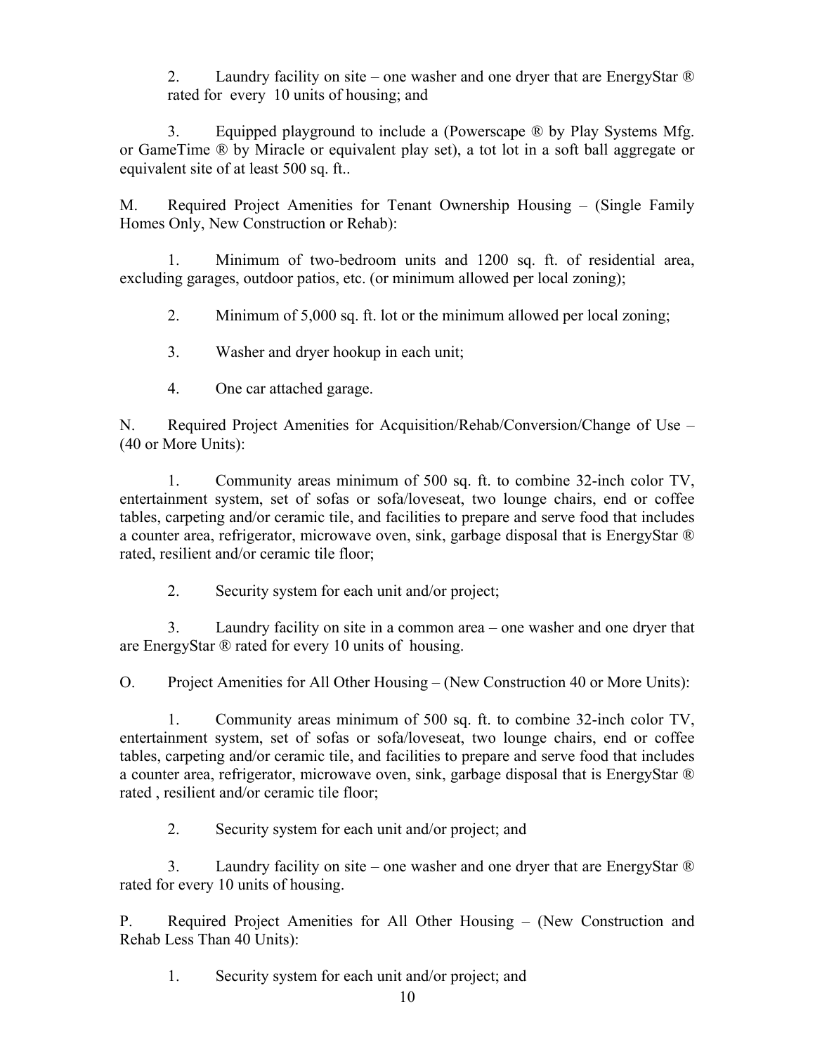2. Laundry facility on site – one washer and one dryer that are EnergyStar  $\mathbb{R}$ rated for every 10 units of housing; and

 3. Equipped playground to include a (Powerscape ® by Play Systems Mfg. or GameTime ® by Miracle or equivalent play set), a tot lot in a soft ball aggregate or equivalent site of at least 500 sq. ft..

M. Required Project Amenities for Tenant Ownership Housing – (Single Family Homes Only, New Construction or Rehab):

 1. Minimum of two-bedroom units and 1200 sq. ft. of residential area, excluding garages, outdoor patios, etc. (or minimum allowed per local zoning);

2. Minimum of 5,000 sq. ft. lot or the minimum allowed per local zoning;

3. Washer and dryer hookup in each unit;

4. One car attached garage.

N. Required Project Amenities for Acquisition/Rehab/Conversion/Change of Use – (40 or More Units):

 1. Community areas minimum of 500 sq. ft. to combine 32-inch color TV, entertainment system, set of sofas or sofa/loveseat, two lounge chairs, end or coffee tables, carpeting and/or ceramic tile, and facilities to prepare and serve food that includes a counter area, refrigerator, microwave oven, sink, garbage disposal that is EnergyStar ® rated, resilient and/or ceramic tile floor;

2. Security system for each unit and/or project;

3. Laundry facility on site in a common area – one washer and one dryer that are EnergyStar ® rated for every 10 units of housing.

O. Project Amenities for All Other Housing – (New Construction 40 or More Units):

 1. Community areas minimum of 500 sq. ft. to combine 32-inch color TV, entertainment system, set of sofas or sofa/loveseat, two lounge chairs, end or coffee tables, carpeting and/or ceramic tile, and facilities to prepare and serve food that includes a counter area, refrigerator, microwave oven, sink, garbage disposal that is EnergyStar ® rated , resilient and/or ceramic tile floor;

2. Security system for each unit and/or project; and

 3. Laundry facility on site – one washer and one dryer that are EnergyStar ® rated for every 10 units of housing.

P. Required Project Amenities for All Other Housing – (New Construction and Rehab Less Than 40 Units):

1. Security system for each unit and/or project; and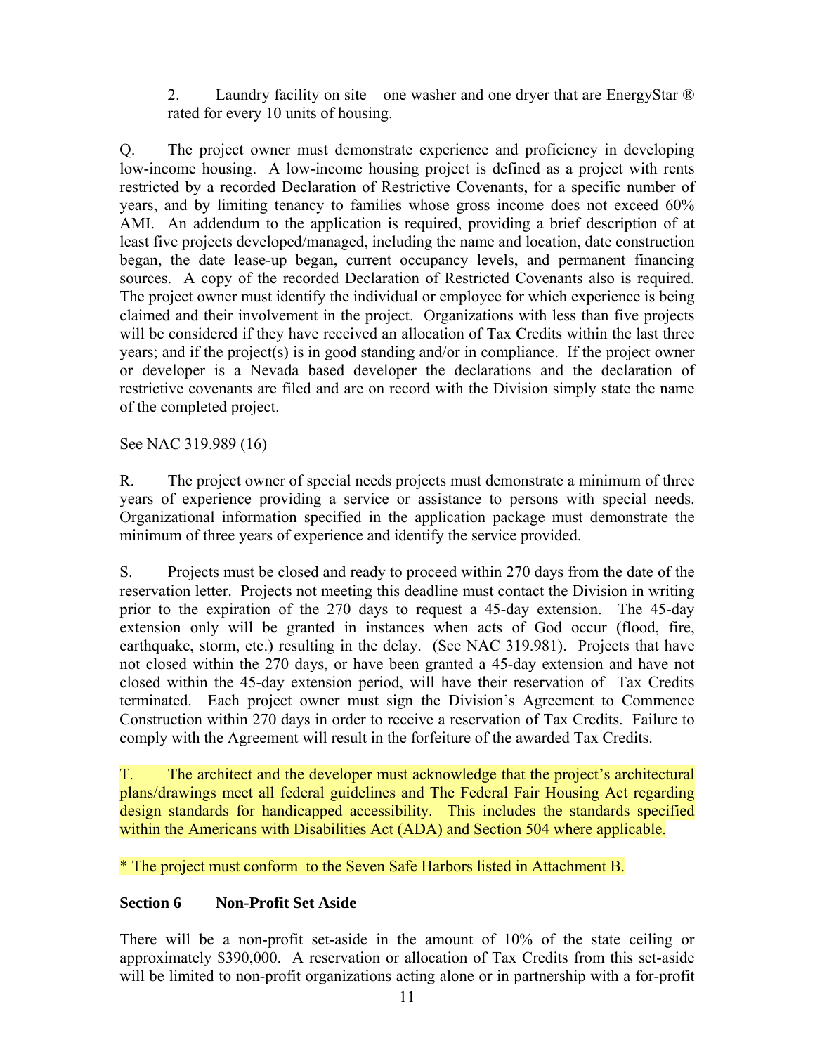2. Laundry facility on site – one washer and one dryer that are EnergyStar ® rated for every 10 units of housing.

Q. The project owner must demonstrate experience and proficiency in developing low-income housing. A low-income housing project is defined as a project with rents restricted by a recorded Declaration of Restrictive Covenants, for a specific number of years, and by limiting tenancy to families whose gross income does not exceed 60% AMI. An addendum to the application is required, providing a brief description of at least five projects developed/managed, including the name and location, date construction began, the date lease-up began, current occupancy levels, and permanent financing sources. A copy of the recorded Declaration of Restricted Covenants also is required. The project owner must identify the individual or employee for which experience is being claimed and their involvement in the project. Organizations with less than five projects will be considered if they have received an allocation of Tax Credits within the last three years; and if the project(s) is in good standing and/or in compliance. If the project owner or developer is a Nevada based developer the declarations and the declaration of restrictive covenants are filed and are on record with the Division simply state the name of the completed project.

See NAC 319.989 (16)

R. The project owner of special needs projects must demonstrate a minimum of three years of experience providing a service or assistance to persons with special needs. Organizational information specified in the application package must demonstrate the minimum of three years of experience and identify the service provided.

S. Projects must be closed and ready to proceed within 270 days from the date of the reservation letter. Projects not meeting this deadline must contact the Division in writing prior to the expiration of the 270 days to request a 45-day extension. The 45-day extension only will be granted in instances when acts of God occur (flood, fire, earthquake, storm, etc.) resulting in the delay. (See NAC 319.981). Projects that have not closed within the 270 days, or have been granted a 45-day extension and have not closed within the 45-day extension period, will have their reservation of Tax Credits terminated. Each project owner must sign the Division's Agreement to Commence Construction within 270 days in order to receive a reservation of Tax Credits. Failure to comply with the Agreement will result in the forfeiture of the awarded Tax Credits.

T. The architect and the developer must acknowledge that the project's architectural plans/drawings meet all federal guidelines and The Federal Fair Housing Act regarding design standards for handicapped accessibility. This includes the standards specified within the Americans with Disabilities Act (ADA) and Section 504 where applicable.

\* The project must conform to the Seven Safe Harbors listed in Attachment B.

## **Section 6 Non-Profit Set Aside**

There will be a non-profit set-aside in the amount of 10% of the state ceiling or approximately \$390,000. A reservation or allocation of Tax Credits from this set-aside will be limited to non-profit organizations acting alone or in partnership with a for-profit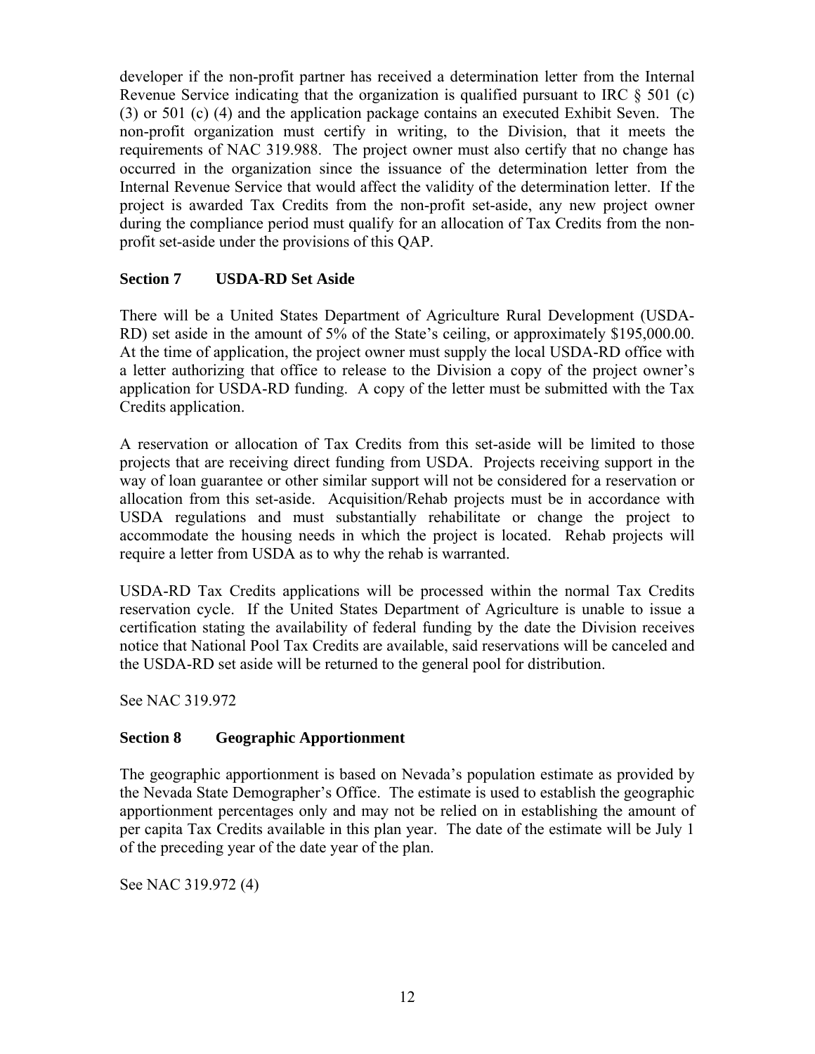developer if the non-profit partner has received a determination letter from the Internal Revenue Service indicating that the organization is qualified pursuant to IRC  $\S$  501 (c) (3) or 501 (c) (4) and the application package contains an executed Exhibit Seven. The non-profit organization must certify in writing, to the Division, that it meets the requirements of NAC 319.988. The project owner must also certify that no change has occurred in the organization since the issuance of the determination letter from the Internal Revenue Service that would affect the validity of the determination letter. If the project is awarded Tax Credits from the non-profit set-aside, any new project owner during the compliance period must qualify for an allocation of Tax Credits from the nonprofit set-aside under the provisions of this QAP.

## **Section 7 USDA-RD Set Aside**

There will be a United States Department of Agriculture Rural Development (USDA-RD) set aside in the amount of 5% of the State's ceiling, or approximately \$195,000.00. At the time of application, the project owner must supply the local USDA-RD office with a letter authorizing that office to release to the Division a copy of the project owner's application for USDA-RD funding. A copy of the letter must be submitted with the Tax Credits application.

A reservation or allocation of Tax Credits from this set-aside will be limited to those projects that are receiving direct funding from USDA. Projects receiving support in the way of loan guarantee or other similar support will not be considered for a reservation or allocation from this set-aside. Acquisition/Rehab projects must be in accordance with USDA regulations and must substantially rehabilitate or change the project to accommodate the housing needs in which the project is located. Rehab projects will require a letter from USDA as to why the rehab is warranted.

USDA-RD Tax Credits applications will be processed within the normal Tax Credits reservation cycle. If the United States Department of Agriculture is unable to issue a certification stating the availability of federal funding by the date the Division receives notice that National Pool Tax Credits are available, said reservations will be canceled and the USDA-RD set aside will be returned to the general pool for distribution.

See NAC 319.972

## **Section 8 Geographic Apportionment**

The geographic apportionment is based on Nevada's population estimate as provided by the Nevada State Demographer's Office. The estimate is used to establish the geographic apportionment percentages only and may not be relied on in establishing the amount of per capita Tax Credits available in this plan year. The date of the estimate will be July 1 of the preceding year of the date year of the plan.

See NAC 319.972 (4)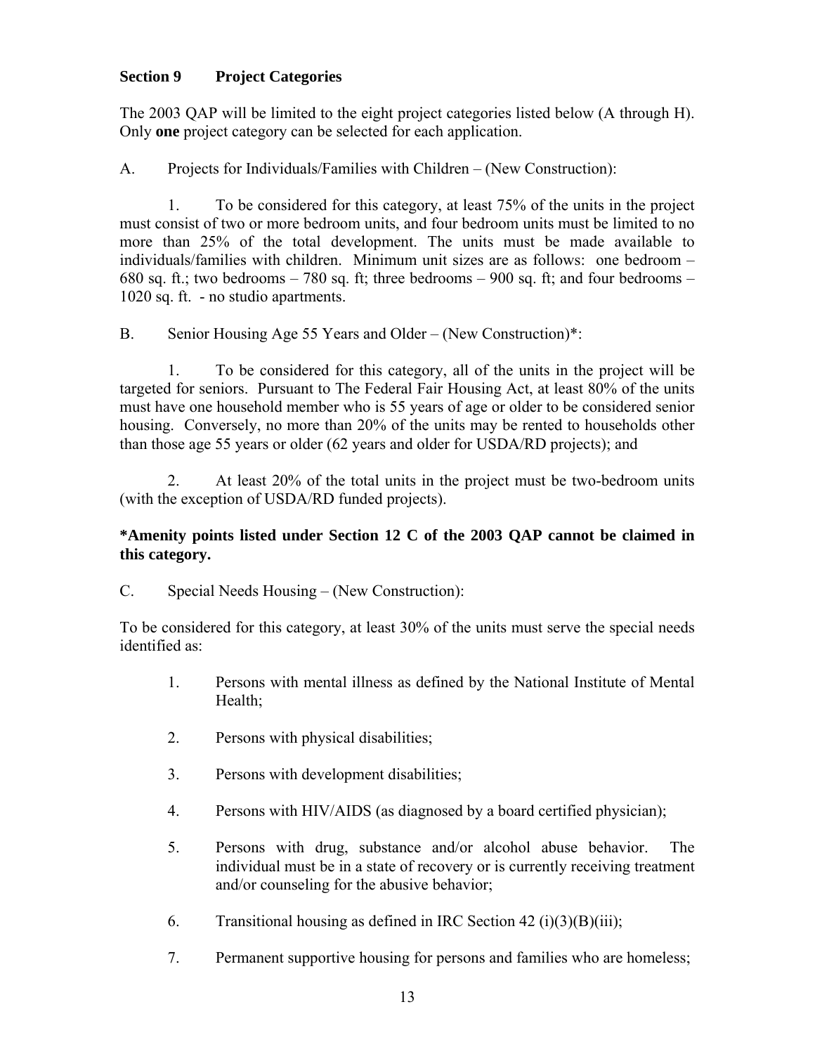# **Section 9 Project Categories**

The 2003 QAP will be limited to the eight project categories listed below (A through H). Only **one** project category can be selected for each application.

A. Projects for Individuals/Families with Children – (New Construction):

 1. To be considered for this category, at least 75% of the units in the project must consist of two or more bedroom units, and four bedroom units must be limited to no more than 25% of the total development. The units must be made available to individuals/families with children. Minimum unit sizes are as follows: one bedroom – 680 sq. ft.; two bedrooms  $-780$  sq. ft; three bedrooms  $-900$  sq. ft; and four bedrooms  $-$ 1020 sq. ft. - no studio apartments.

B. Senior Housing Age 55 Years and Older – (New Construction)\*:

 1. To be considered for this category, all of the units in the project will be targeted for seniors. Pursuant to The Federal Fair Housing Act, at least 80% of the units must have one household member who is 55 years of age or older to be considered senior housing. Conversely, no more than 20% of the units may be rented to households other than those age 55 years or older (62 years and older for USDA/RD projects); and

 2. At least 20% of the total units in the project must be two-bedroom units (with the exception of USDA/RD funded projects).

## **\*Amenity points listed under Section 12 C of the 2003 QAP cannot be claimed in this category.**

C. Special Needs Housing – (New Construction):

To be considered for this category, at least 30% of the units must serve the special needs identified as:

- 1. Persons with mental illness as defined by the National Institute of Mental Health;
- 2. Persons with physical disabilities;
- 3. Persons with development disabilities;
- 4. Persons with HIV/AIDS (as diagnosed by a board certified physician);
- 5. Persons with drug, substance and/or alcohol abuse behavior. The individual must be in a state of recovery or is currently receiving treatment and/or counseling for the abusive behavior;
- 6. Transitional housing as defined in IRC Section 42 (i)(3)(B)(iii);
- 7. Permanent supportive housing for persons and families who are homeless;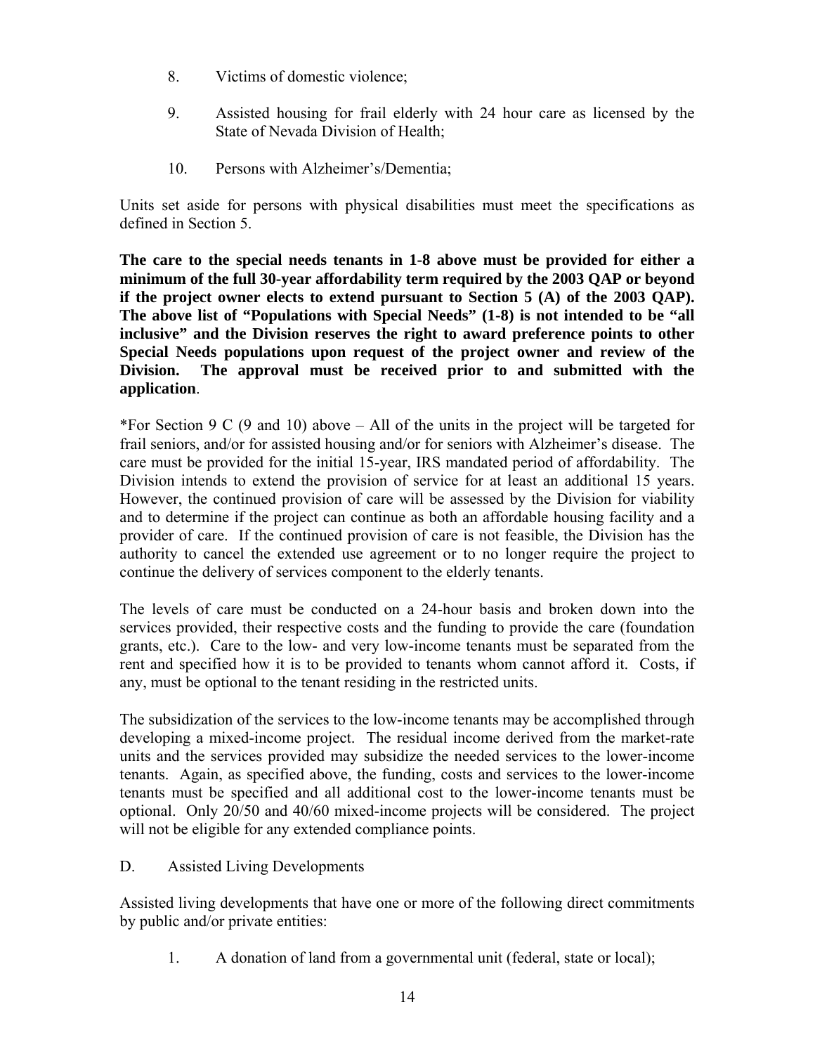- 8. Victims of domestic violence;
- 9. Assisted housing for frail elderly with 24 hour care as licensed by the State of Nevada Division of Health;
- 10. Persons with Alzheimer's/Dementia;

Units set aside for persons with physical disabilities must meet the specifications as defined in Section 5.

**The care to the special needs tenants in 1-8 above must be provided for either a minimum of the full 30-year affordability term required by the 2003 QAP or beyond if the project owner elects to extend pursuant to Section 5 (A) of the 2003 QAP). The above list of "Populations with Special Needs" (1-8) is not intended to be "all inclusive" and the Division reserves the right to award preference points to other Special Needs populations upon request of the project owner and review of the Division. The approval must be received prior to and submitted with the application**.

\*For Section 9 C (9 and 10) above – All of the units in the project will be targeted for frail seniors, and/or for assisted housing and/or for seniors with Alzheimer's disease. The care must be provided for the initial 15-year, IRS mandated period of affordability. The Division intends to extend the provision of service for at least an additional 15 years. However, the continued provision of care will be assessed by the Division for viability and to determine if the project can continue as both an affordable housing facility and a provider of care. If the continued provision of care is not feasible, the Division has the authority to cancel the extended use agreement or to no longer require the project to continue the delivery of services component to the elderly tenants.

The levels of care must be conducted on a 24-hour basis and broken down into the services provided, their respective costs and the funding to provide the care (foundation grants, etc.). Care to the low- and very low-income tenants must be separated from the rent and specified how it is to be provided to tenants whom cannot afford it. Costs, if any, must be optional to the tenant residing in the restricted units.

The subsidization of the services to the low-income tenants may be accomplished through developing a mixed-income project. The residual income derived from the market-rate units and the services provided may subsidize the needed services to the lower-income tenants. Again, as specified above, the funding, costs and services to the lower-income tenants must be specified and all additional cost to the lower-income tenants must be optional. Only 20/50 and 40/60 mixed-income projects will be considered. The project will not be eligible for any extended compliance points.

D. Assisted Living Developments

Assisted living developments that have one or more of the following direct commitments by public and/or private entities:

1. A donation of land from a governmental unit (federal, state or local);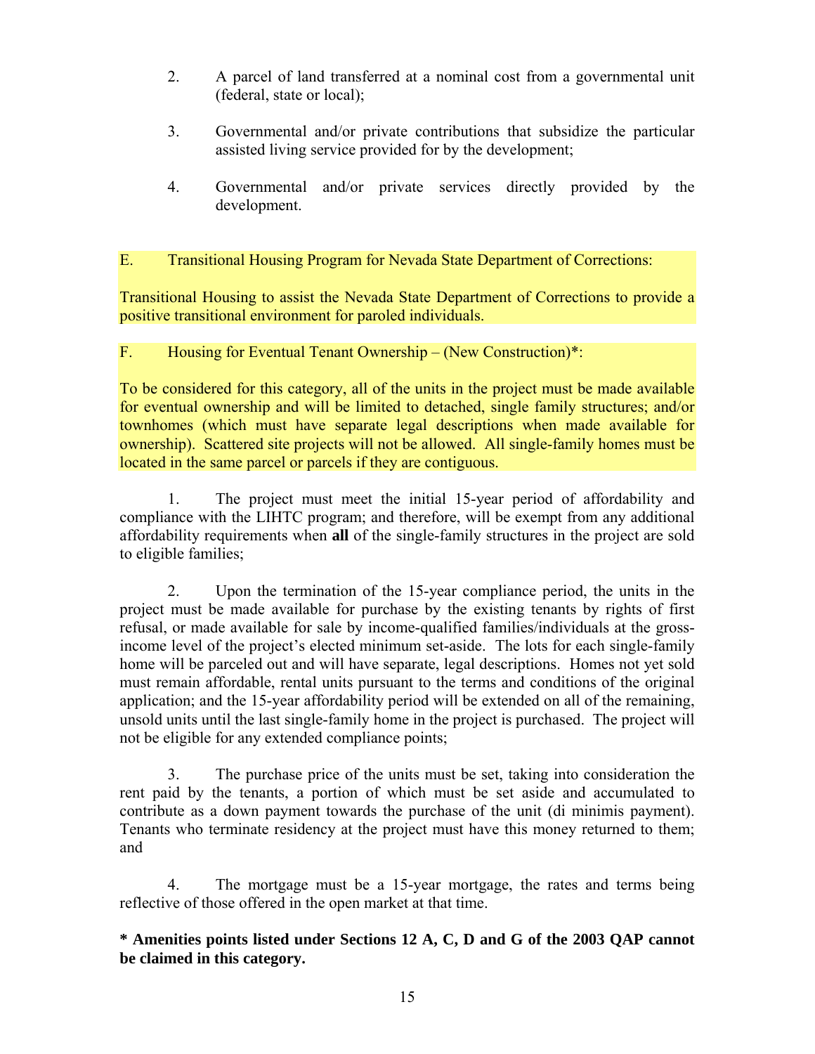- 2. A parcel of land transferred at a nominal cost from a governmental unit (federal, state or local);
- 3. Governmental and/or private contributions that subsidize the particular assisted living service provided for by the development;
- 4. Governmental and/or private services directly provided by the development.

#### E. Transitional Housing Program for Nevada State Department of Corrections:

Transitional Housing to assist the Nevada State Department of Corrections to provide a positive transitional environment for paroled individuals.

#### F. Housing for Eventual Tenant Ownership – (New Construction)\*:

To be considered for this category, all of the units in the project must be made available for eventual ownership and will be limited to detached, single family structures; and/or townhomes (which must have separate legal descriptions when made available for ownership). Scattered site projects will not be allowed. All single-family homes must be located in the same parcel or parcels if they are contiguous.

 1. The project must meet the initial 15-year period of affordability and compliance with the LIHTC program; and therefore, will be exempt from any additional affordability requirements when **all** of the single-family structures in the project are sold to eligible families;

 2. Upon the termination of the 15-year compliance period, the units in the project must be made available for purchase by the existing tenants by rights of first refusal, or made available for sale by income-qualified families/individuals at the grossincome level of the project's elected minimum set-aside. The lots for each single-family home will be parceled out and will have separate, legal descriptions. Homes not yet sold must remain affordable, rental units pursuant to the terms and conditions of the original application; and the 15-year affordability period will be extended on all of the remaining, unsold units until the last single-family home in the project is purchased. The project will not be eligible for any extended compliance points;

 3. The purchase price of the units must be set, taking into consideration the rent paid by the tenants, a portion of which must be set aside and accumulated to contribute as a down payment towards the purchase of the unit (di minimis payment). Tenants who terminate residency at the project must have this money returned to them; and

 4. The mortgage must be a 15-year mortgage, the rates and terms being reflective of those offered in the open market at that time.

**\* Amenities points listed under Sections 12 A, C, D and G of the 2003 QAP cannot be claimed in this category.**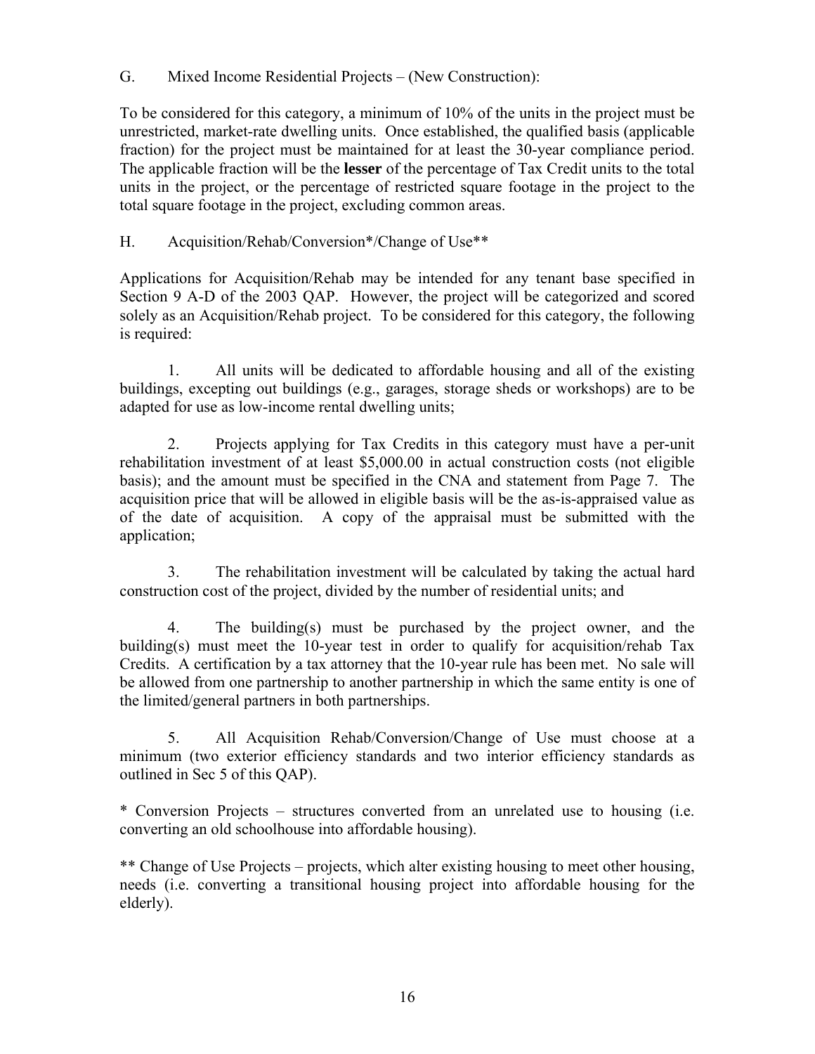G. Mixed Income Residential Projects – (New Construction):

To be considered for this category, a minimum of 10% of the units in the project must be unrestricted, market-rate dwelling units. Once established, the qualified basis (applicable fraction) for the project must be maintained for at least the 30-year compliance period. The applicable fraction will be the **lesser** of the percentage of Tax Credit units to the total units in the project, or the percentage of restricted square footage in the project to the total square footage in the project, excluding common areas.

# H. Acquisition/Rehab/Conversion\*/Change of Use\*\*

Applications for Acquisition/Rehab may be intended for any tenant base specified in Section 9 A-D of the 2003 QAP. However, the project will be categorized and scored solely as an Acquisition/Rehab project. To be considered for this category, the following is required:

 1. All units will be dedicated to affordable housing and all of the existing buildings, excepting out buildings (e.g., garages, storage sheds or workshops) are to be adapted for use as low-income rental dwelling units;

 2. Projects applying for Tax Credits in this category must have a per-unit rehabilitation investment of at least \$5,000.00 in actual construction costs (not eligible basis); and the amount must be specified in the CNA and statement from Page 7. The acquisition price that will be allowed in eligible basis will be the as-is-appraised value as of the date of acquisition. A copy of the appraisal must be submitted with the application;

 3. The rehabilitation investment will be calculated by taking the actual hard construction cost of the project, divided by the number of residential units; and

 4. The building(s) must be purchased by the project owner, and the building(s) must meet the 10-year test in order to qualify for acquisition/rehab Tax Credits. A certification by a tax attorney that the 10-year rule has been met. No sale will be allowed from one partnership to another partnership in which the same entity is one of the limited/general partners in both partnerships.

 5. All Acquisition Rehab/Conversion/Change of Use must choose at a minimum (two exterior efficiency standards and two interior efficiency standards as outlined in Sec 5 of this QAP).

\* Conversion Projects – structures converted from an unrelated use to housing (i.e. converting an old schoolhouse into affordable housing).

\*\* Change of Use Projects – projects, which alter existing housing to meet other housing, needs (i.e. converting a transitional housing project into affordable housing for the elderly).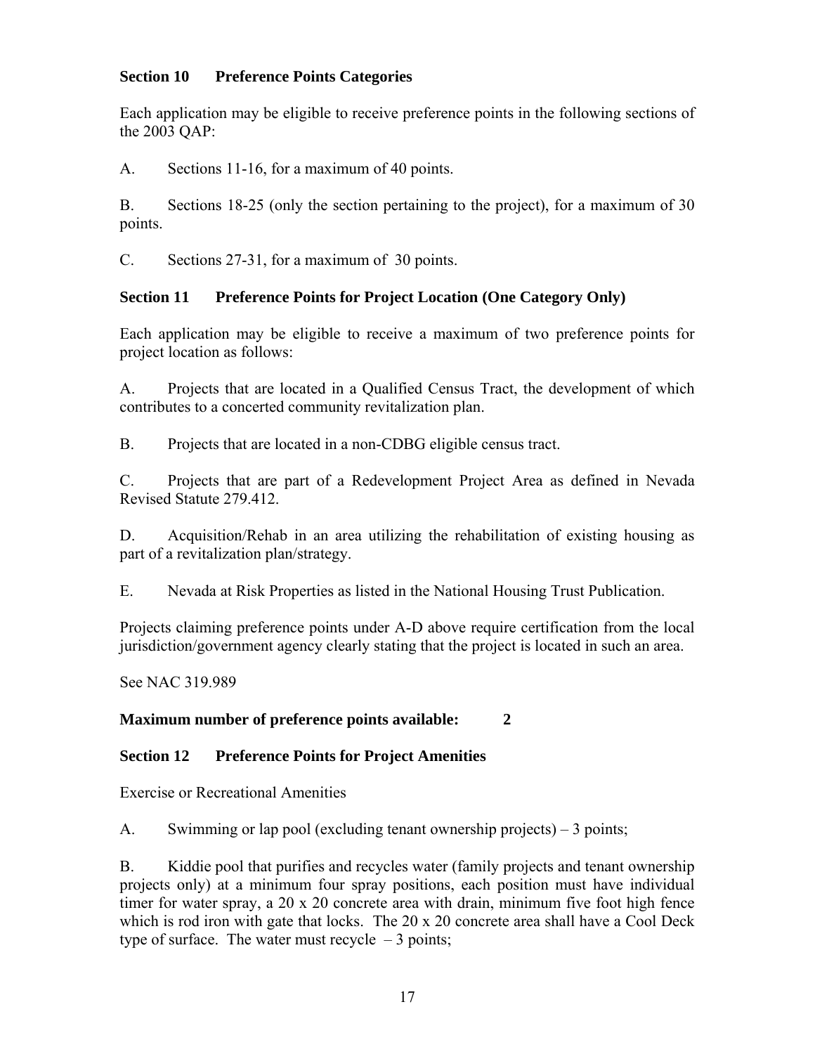## **Section 10 Preference Points Categories**

Each application may be eligible to receive preference points in the following sections of the 2003 QAP:

A. Sections 11-16, for a maximum of 40 points.

B. Sections 18-25 (only the section pertaining to the project), for a maximum of 30 points.

C. Sections 27-31, for a maximum of 30 points.

# **Section 11 Preference Points for Project Location (One Category Only)**

Each application may be eligible to receive a maximum of two preference points for project location as follows:

A. Projects that are located in a Qualified Census Tract, the development of which contributes to a concerted community revitalization plan.

B. Projects that are located in a non-CDBG eligible census tract.

C. Projects that are part of a Redevelopment Project Area as defined in Nevada Revised Statute 279.412.

D. Acquisition/Rehab in an area utilizing the rehabilitation of existing housing as part of a revitalization plan/strategy.

E. Nevada at Risk Properties as listed in the National Housing Trust Publication.

Projects claiming preference points under A-D above require certification from the local jurisdiction/government agency clearly stating that the project is located in such an area.

See NAC 319.989

## **Maximum number of preference points available: 2**

## **Section 12 Preference Points for Project Amenities**

Exercise or Recreational Amenities

A. Swimming or lap pool (excluding tenant ownership projects) – 3 points;

B. Kiddie pool that purifies and recycles water (family projects and tenant ownership projects only) at a minimum four spray positions, each position must have individual timer for water spray, a  $20 \times 20$  concrete area with drain, minimum five foot high fence which is rod iron with gate that locks. The 20 x 20 concrete area shall have a Cool Deck type of surface. The water must recycle  $-3$  points;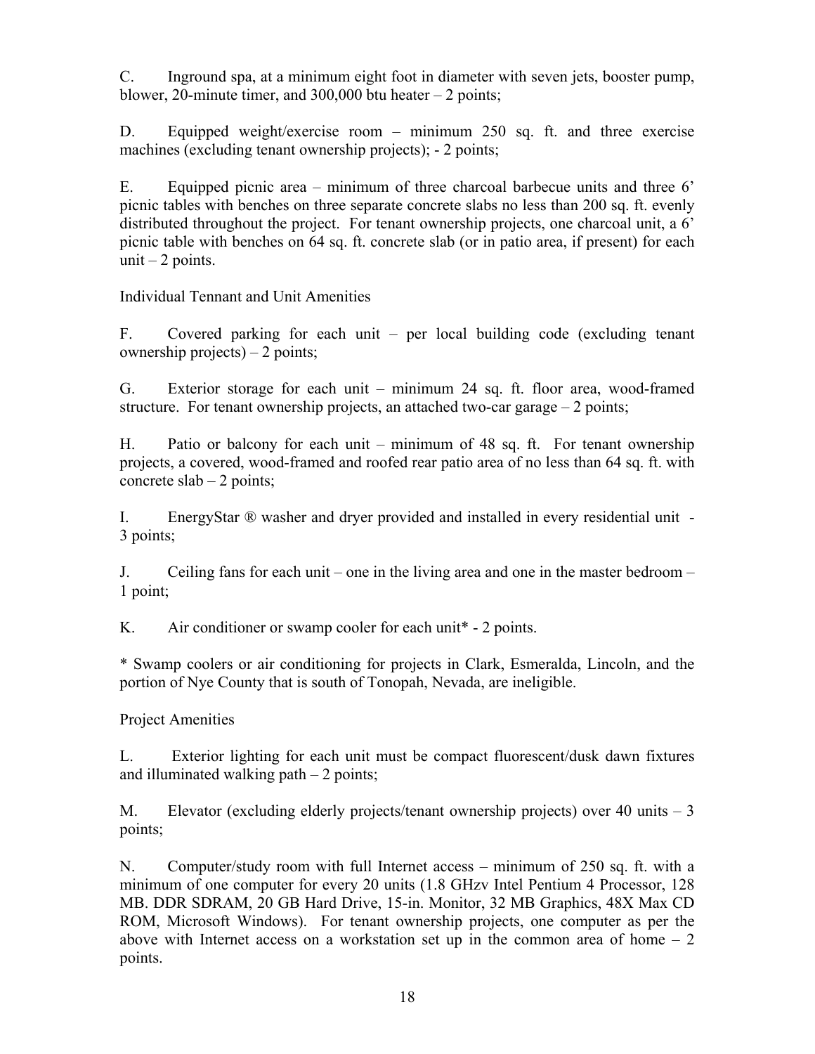C. Inground spa, at a minimum eight foot in diameter with seven jets, booster pump, blower, 20-minute timer, and 300,000 btu heater  $-2$  points;

D. Equipped weight/exercise room – minimum 250 sq. ft. and three exercise machines (excluding tenant ownership projects); - 2 points;

E. Equipped picnic area – minimum of three charcoal barbecue units and three 6' picnic tables with benches on three separate concrete slabs no less than 200 sq. ft. evenly distributed throughout the project. For tenant ownership projects, one charcoal unit, a 6' picnic table with benches on 64 sq. ft. concrete slab (or in patio area, if present) for each unit  $-2$  points.

Individual Tennant and Unit Amenities

F. Covered parking for each unit – per local building code (excluding tenant ownership projects) – 2 points;

G. Exterior storage for each unit – minimum 24 sq. ft. floor area, wood-framed structure. For tenant ownership projects, an attached two-car garage  $-2$  points;

H. Patio or balcony for each unit – minimum of 48 sq. ft. For tenant ownership projects, a covered, wood-framed and roofed rear patio area of no less than 64 sq. ft. with concrete  $slab - 2$  points;

I. EnergyStar ® washer and dryer provided and installed in every residential unit - 3 points;

J. Ceiling fans for each unit – one in the living area and one in the master bedroom – 1 point;

K. Air conditioner or swamp cooler for each unit\* - 2 points.

\* Swamp coolers or air conditioning for projects in Clark, Esmeralda, Lincoln, and the portion of Nye County that is south of Tonopah, Nevada, are ineligible.

Project Amenities

L. Exterior lighting for each unit must be compact fluorescent/dusk dawn fixtures and illuminated walking path  $-2$  points;

M. Elevator (excluding elderly projects/tenant ownership projects) over 40 units – 3 points;

N. Computer/study room with full Internet access – minimum of 250 sq. ft. with a minimum of one computer for every 20 units (1.8 GHzv Intel Pentium 4 Processor, 128 MB. DDR SDRAM, 20 GB Hard Drive, 15-in. Monitor, 32 MB Graphics, 48X Max CD ROM, Microsoft Windows). For tenant ownership projects, one computer as per the above with Internet access on a workstation set up in the common area of home  $-2$ points.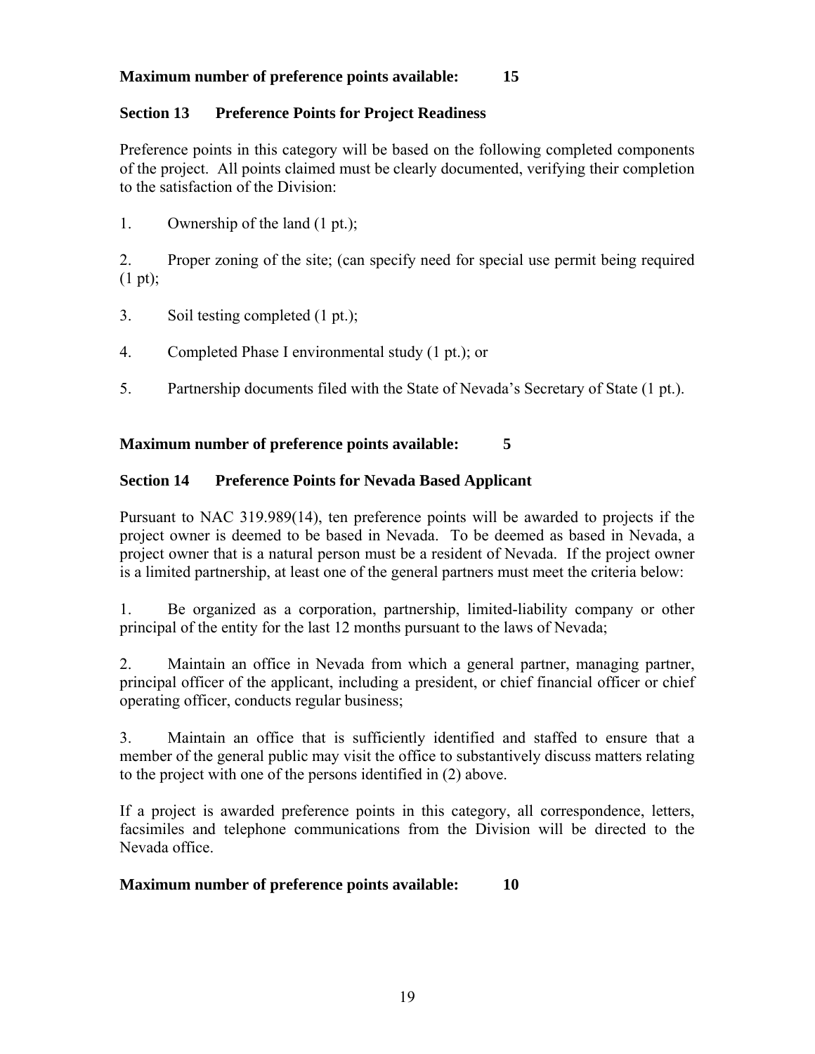## **Maximum number of preference points available: 15**

#### **Section 13 Preference Points for Project Readiness**

Preference points in this category will be based on the following completed components of the project. All points claimed must be clearly documented, verifying their completion to the satisfaction of the Division:

1. Ownership of the land (1 pt.);

2. Proper zoning of the site; (can specify need for special use permit being required (1 pt);

- 3. Soil testing completed (1 pt.);
- 4. Completed Phase I environmental study (1 pt.); or
- 5. Partnership documents filed with the State of Nevada's Secretary of State (1 pt.).

#### **Maximum number of preference points available: 5**

#### **Section 14 Preference Points for Nevada Based Applicant**

Pursuant to NAC 319.989(14), ten preference points will be awarded to projects if the project owner is deemed to be based in Nevada. To be deemed as based in Nevada, a project owner that is a natural person must be a resident of Nevada. If the project owner is a limited partnership, at least one of the general partners must meet the criteria below:

1. Be organized as a corporation, partnership, limited-liability company or other principal of the entity for the last 12 months pursuant to the laws of Nevada;

2. Maintain an office in Nevada from which a general partner, managing partner, principal officer of the applicant, including a president, or chief financial officer or chief operating officer, conducts regular business;

3. Maintain an office that is sufficiently identified and staffed to ensure that a member of the general public may visit the office to substantively discuss matters relating to the project with one of the persons identified in (2) above.

If a project is awarded preference points in this category, all correspondence, letters, facsimiles and telephone communications from the Division will be directed to the Nevada office.

#### **Maximum number of preference points available: 10**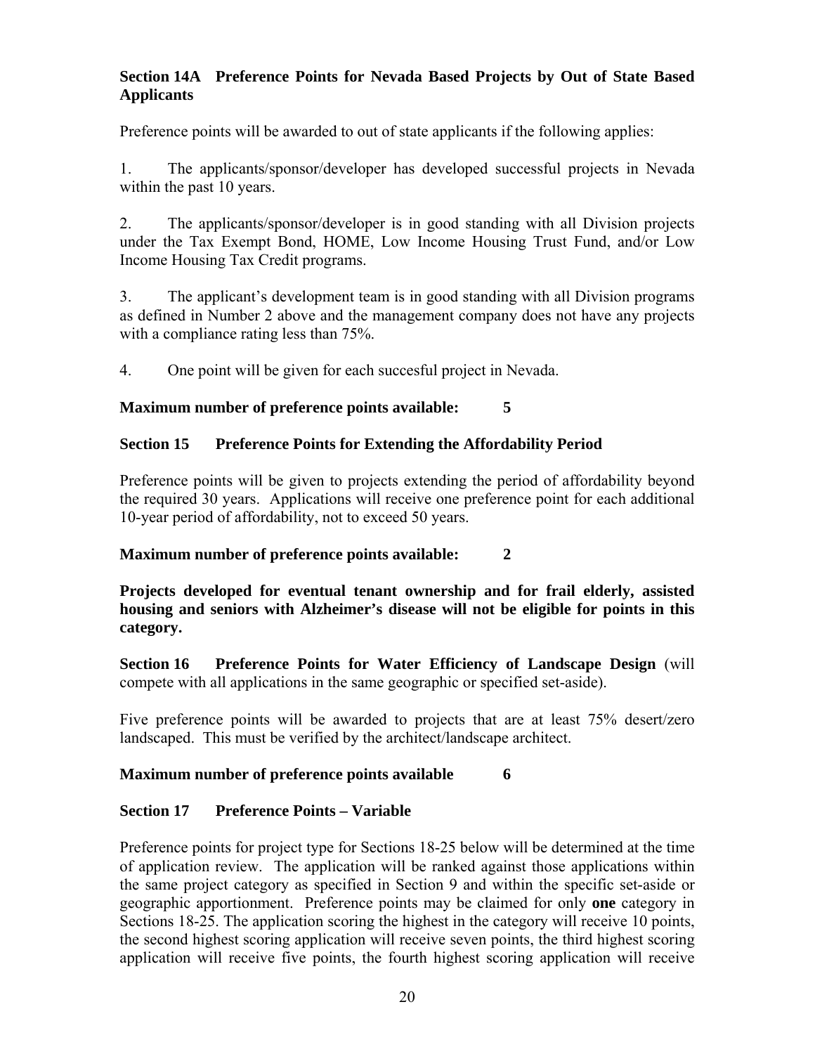## **Section 14A Preference Points for Nevada Based Projects by Out of State Based Applicants**

Preference points will be awarded to out of state applicants if the following applies:

1. The applicants/sponsor/developer has developed successful projects in Nevada within the past 10 years.

2. The applicants/sponsor/developer is in good standing with all Division projects under the Tax Exempt Bond, HOME, Low Income Housing Trust Fund, and/or Low Income Housing Tax Credit programs.

3. The applicant's development team is in good standing with all Division programs as defined in Number 2 above and the management company does not have any projects with a compliance rating less than 75%.

4. One point will be given for each succesful project in Nevada.

# **Maximum number of preference points available: 5**

# **Section 15 Preference Points for Extending the Affordability Period**

Preference points will be given to projects extending the period of affordability beyond the required 30 years. Applications will receive one preference point for each additional 10-year period of affordability, not to exceed 50 years.

## **Maximum number of preference points available: 2**

**Projects developed for eventual tenant ownership and for frail elderly, assisted housing and seniors with Alzheimer's disease will not be eligible for points in this category.** 

**Section 16 Preference Points for Water Efficiency of Landscape Design** (will compete with all applications in the same geographic or specified set-aside).

Five preference points will be awarded to projects that are at least 75% desert/zero landscaped. This must be verified by the architect/landscape architect.

## **Maximum number of preference points available 6**

# **Section 17 Preference Points – Variable**

Preference points for project type for Sections 18-25 below will be determined at the time of application review. The application will be ranked against those applications within the same project category as specified in Section 9 and within the specific set-aside or geographic apportionment. Preference points may be claimed for only **one** category in Sections 18-25. The application scoring the highest in the category will receive 10 points, the second highest scoring application will receive seven points, the third highest scoring application will receive five points, the fourth highest scoring application will receive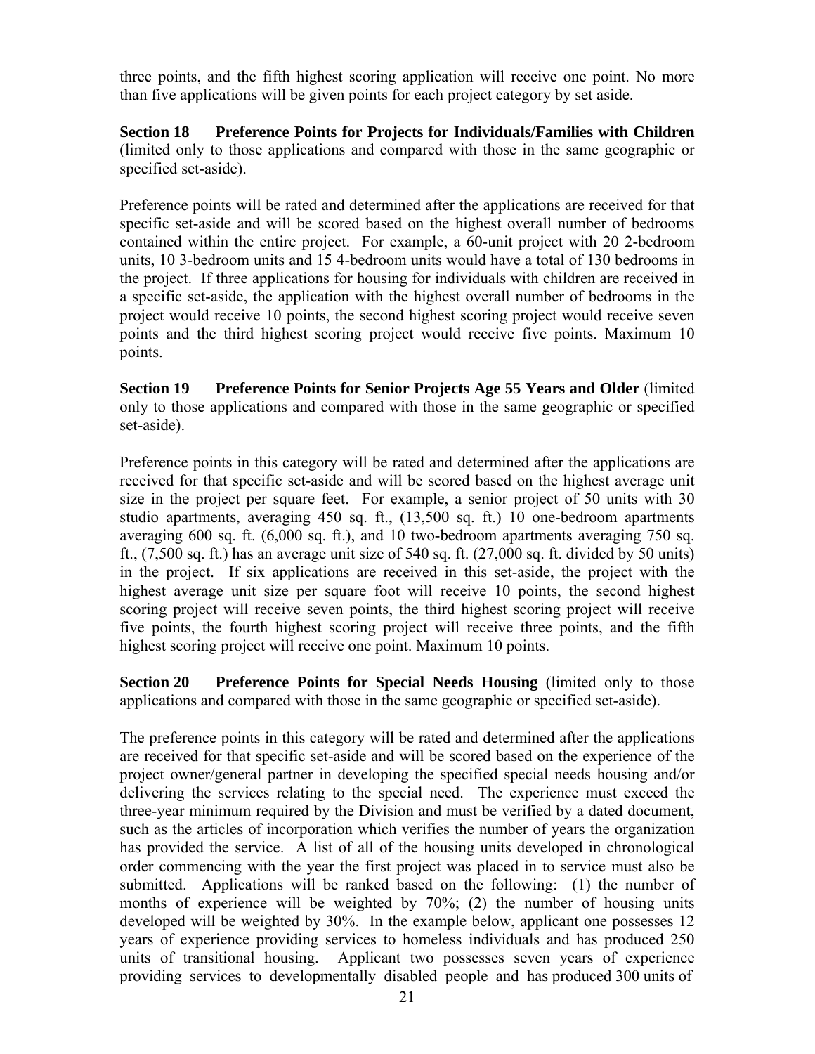three points, and the fifth highest scoring application will receive one point. No more than five applications will be given points for each project category by set aside.

**Section 18 Preference Points for Projects for Individuals/Families with Children**  (limited only to those applications and compared with those in the same geographic or specified set-aside).

Preference points will be rated and determined after the applications are received for that specific set-aside and will be scored based on the highest overall number of bedrooms contained within the entire project. For example, a 60-unit project with 20 2-bedroom units, 10 3-bedroom units and 15 4-bedroom units would have a total of 130 bedrooms in the project. If three applications for housing for individuals with children are received in a specific set-aside, the application with the highest overall number of bedrooms in the project would receive 10 points, the second highest scoring project would receive seven points and the third highest scoring project would receive five points. Maximum 10 points.

**Section 19 Preference Points for Senior Projects Age 55 Years and Older** (limited only to those applications and compared with those in the same geographic or specified set-aside).

Preference points in this category will be rated and determined after the applications are received for that specific set-aside and will be scored based on the highest average unit size in the project per square feet. For example, a senior project of 50 units with 30 studio apartments, averaging 450 sq. ft., (13,500 sq. ft.) 10 one-bedroom apartments averaging 600 sq. ft. (6,000 sq. ft.), and 10 two-bedroom apartments averaging 750 sq. ft.,  $(7,500 \text{ sq. ft.})$  has an average unit size of 540 sq. ft.  $(27,000 \text{ sq. ft.}$  divided by 50 units) in the project. If six applications are received in this set-aside, the project with the highest average unit size per square foot will receive 10 points, the second highest scoring project will receive seven points, the third highest scoring project will receive five points, the fourth highest scoring project will receive three points, and the fifth highest scoring project will receive one point. Maximum 10 points.

**Section 20** Preference Points for Special Needs Housing (limited only to those applications and compared with those in the same geographic or specified set-aside).

The preference points in this category will be rated and determined after the applications are received for that specific set-aside and will be scored based on the experience of the project owner/general partner in developing the specified special needs housing and/or delivering the services relating to the special need. The experience must exceed the three-year minimum required by the Division and must be verified by a dated document, such as the articles of incorporation which verifies the number of years the organization has provided the service. A list of all of the housing units developed in chronological order commencing with the year the first project was placed in to service must also be submitted. Applications will be ranked based on the following: (1) the number of months of experience will be weighted by 70%; (2) the number of housing units developed will be weighted by 30%. In the example below, applicant one possesses 12 years of experience providing services to homeless individuals and has produced 250 units of transitional housing. Applicant two possesses seven years of experience providing services to developmentally disabled people and has produced 300 units of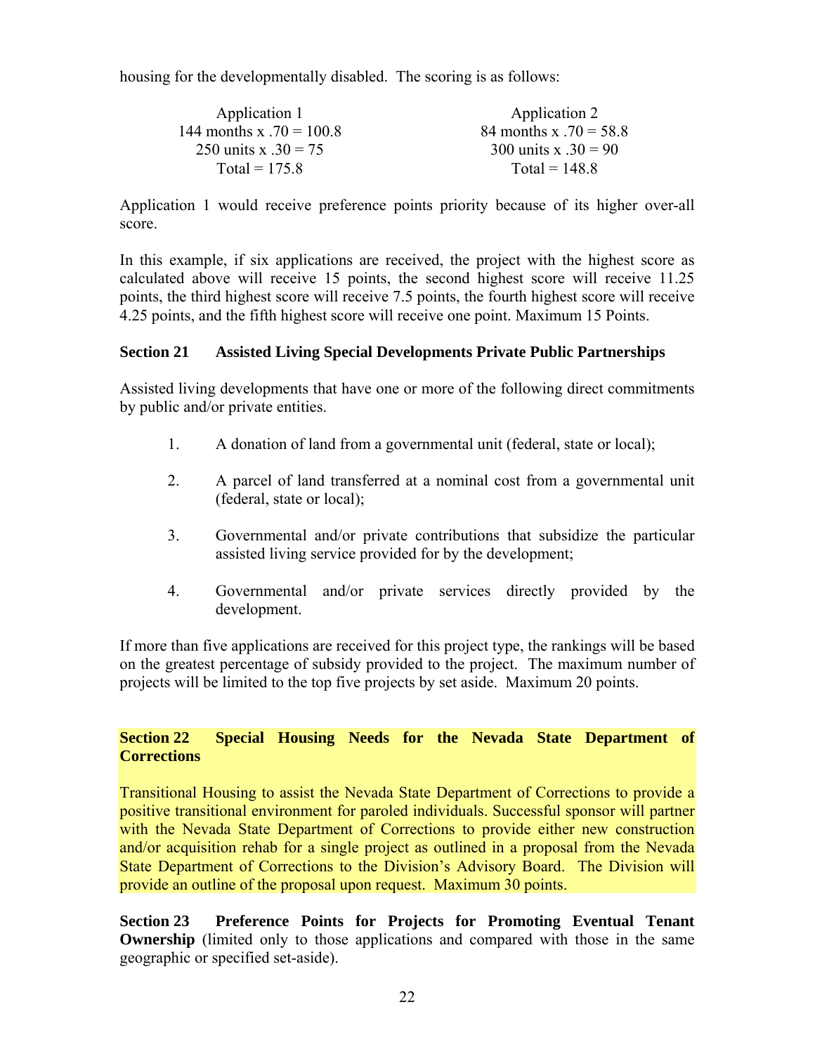housing for the developmentally disabled. The scoring is as follows:

| Application 1              | Application 2            |
|----------------------------|--------------------------|
| 144 months x $.70 = 100.8$ | 84 months x $.70 = 58.8$ |
| 250 units x $.30 = 75$     | 300 units x $.30 = 90$   |
| Total = $175.8$            | Total = $148.8$          |

Application 1 would receive preference points priority because of its higher over-all score.

In this example, if six applications are received, the project with the highest score as calculated above will receive 15 points, the second highest score will receive 11.25 points, the third highest score will receive 7.5 points, the fourth highest score will receive 4.25 points, and the fifth highest score will receive one point. Maximum 15 Points.

#### **Section 21 Assisted Living Special Developments Private Public Partnerships**

Assisted living developments that have one or more of the following direct commitments by public and/or private entities.

- 1. A donation of land from a governmental unit (federal, state or local);
- 2. A parcel of land transferred at a nominal cost from a governmental unit (federal, state or local);
- 3. Governmental and/or private contributions that subsidize the particular assisted living service provided for by the development;
- 4. Governmental and/or private services directly provided by the development.

If more than five applications are received for this project type, the rankings will be based on the greatest percentage of subsidy provided to the project. The maximum number of projects will be limited to the top five projects by set aside. Maximum 20 points.

## **Section 22 Special Housing Needs for the Nevada State Department of Corrections**

Transitional Housing to assist the Nevada State Department of Corrections to provide a positive transitional environment for paroled individuals. Successful sponsor will partner with the Nevada State Department of Corrections to provide either new construction and/or acquisition rehab for a single project as outlined in a proposal from the Nevada State Department of Corrections to the Division's Advisory Board. The Division will provide an outline of the proposal upon request. Maximum 30 points.

**Section 23 Preference Points for Projects for Promoting Eventual Tenant Ownership** (limited only to those applications and compared with those in the same geographic or specified set-aside).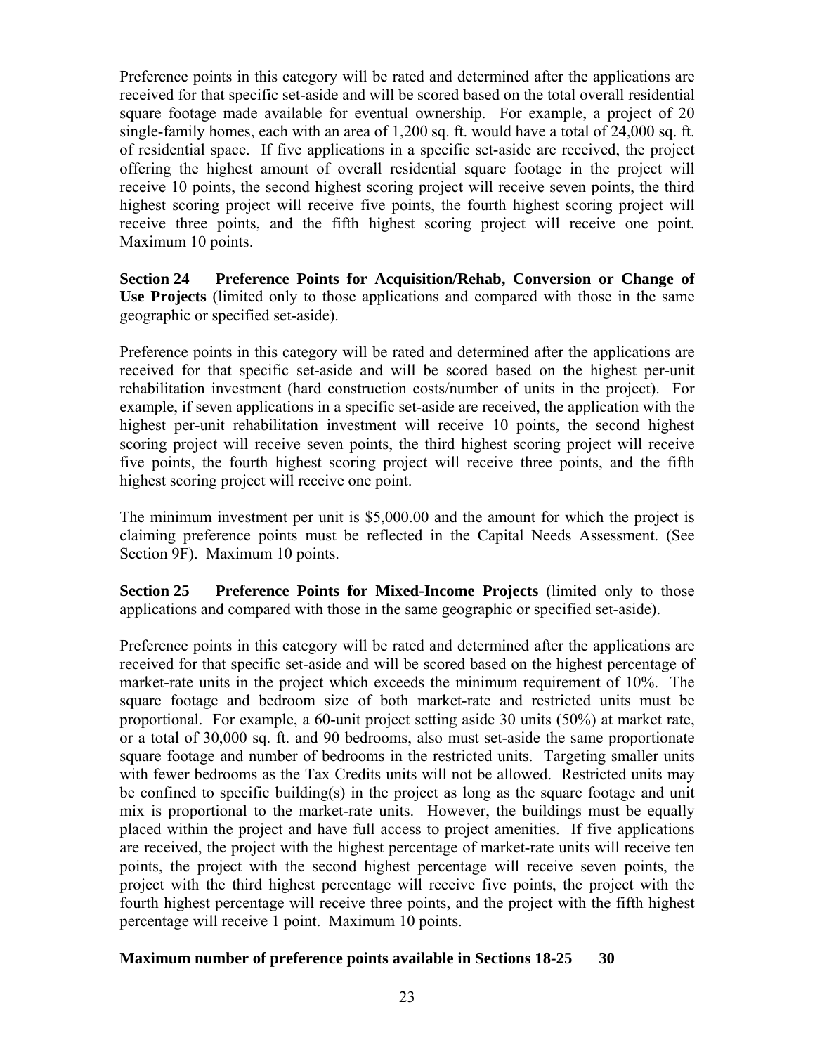Preference points in this category will be rated and determined after the applications are received for that specific set-aside and will be scored based on the total overall residential square footage made available for eventual ownership. For example, a project of 20 single-family homes, each with an area of 1,200 sq. ft. would have a total of 24,000 sq. ft. of residential space. If five applications in a specific set-aside are received, the project offering the highest amount of overall residential square footage in the project will receive 10 points, the second highest scoring project will receive seven points, the third highest scoring project will receive five points, the fourth highest scoring project will receive three points, and the fifth highest scoring project will receive one point. Maximum 10 points.

**Section 24 Preference Points for Acquisition/Rehab, Conversion or Change of Use Projects** (limited only to those applications and compared with those in the same geographic or specified set-aside).

Preference points in this category will be rated and determined after the applications are received for that specific set-aside and will be scored based on the highest per-unit rehabilitation investment (hard construction costs/number of units in the project). For example, if seven applications in a specific set-aside are received, the application with the highest per-unit rehabilitation investment will receive 10 points, the second highest scoring project will receive seven points, the third highest scoring project will receive five points, the fourth highest scoring project will receive three points, and the fifth highest scoring project will receive one point.

The minimum investment per unit is \$5,000.00 and the amount for which the project is claiming preference points must be reflected in the Capital Needs Assessment. (See Section 9F). Maximum 10 points.

**Section 25 Preference Points for Mixed-Income Projects** (limited only to those applications and compared with those in the same geographic or specified set-aside).

Preference points in this category will be rated and determined after the applications are received for that specific set-aside and will be scored based on the highest percentage of market-rate units in the project which exceeds the minimum requirement of 10%. The square footage and bedroom size of both market-rate and restricted units must be proportional. For example, a 60-unit project setting aside 30 units (50%) at market rate, or a total of 30,000 sq. ft. and 90 bedrooms, also must set-aside the same proportionate square footage and number of bedrooms in the restricted units. Targeting smaller units with fewer bedrooms as the Tax Credits units will not be allowed. Restricted units may be confined to specific building(s) in the project as long as the square footage and unit mix is proportional to the market-rate units. However, the buildings must be equally placed within the project and have full access to project amenities. If five applications are received, the project with the highest percentage of market-rate units will receive ten points, the project with the second highest percentage will receive seven points, the project with the third highest percentage will receive five points, the project with the fourth highest percentage will receive three points, and the project with the fifth highest percentage will receive 1 point. Maximum 10 points.

## **Maximum number of preference points available in Sections 18-25 30**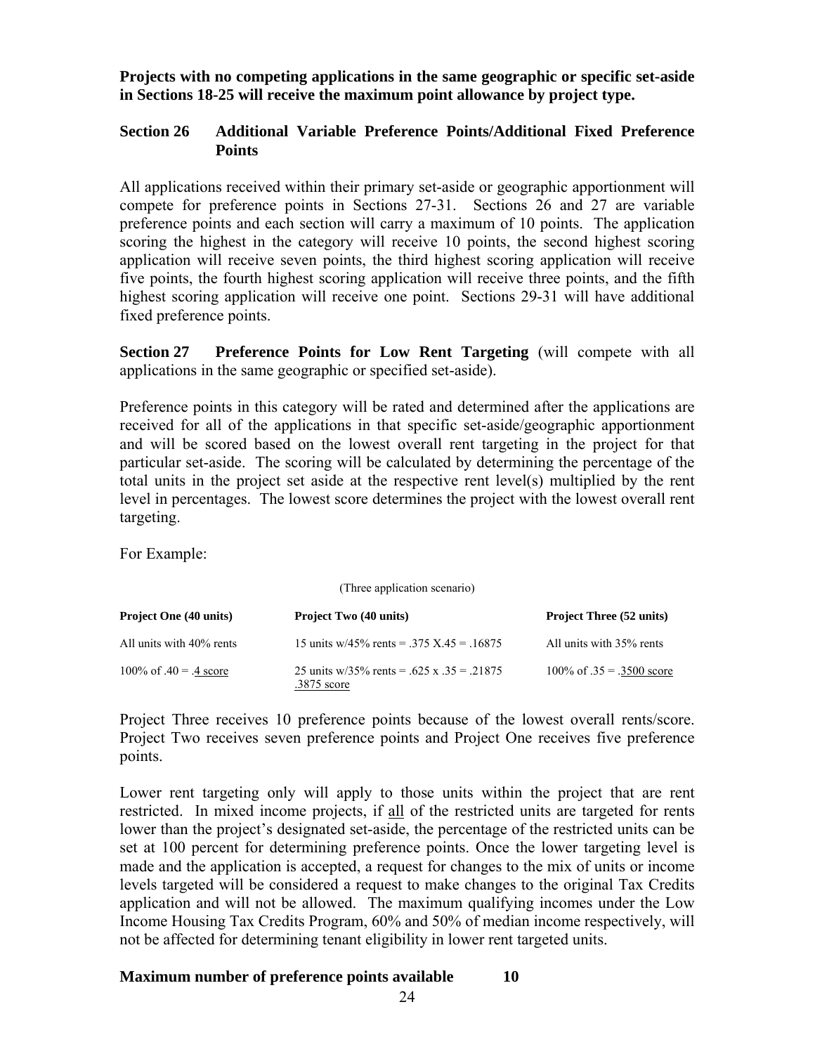**Projects with no competing applications in the same geographic or specific set-aside in Sections 18-25 will receive the maximum point allowance by project type.** 

## **Section 26 Additional Variable Preference Points/Additional Fixed Preference Points**

All applications received within their primary set-aside or geographic apportionment will compete for preference points in Sections 27-31. Sections 26 and 27 are variable preference points and each section will carry a maximum of 10 points. The application scoring the highest in the category will receive 10 points, the second highest scoring application will receive seven points, the third highest scoring application will receive five points, the fourth highest scoring application will receive three points, and the fifth highest scoring application will receive one point. Sections 29-31 will have additional fixed preference points.

**Section 27** Preference Points for Low Rent Targeting (will compete with all applications in the same geographic or specified set-aside).

Preference points in this category will be rated and determined after the applications are received for all of the applications in that specific set-aside/geographic apportionment and will be scored based on the lowest overall rent targeting in the project for that particular set-aside. The scoring will be calculated by determining the percentage of the total units in the project set aside at the respective rent level(s) multiplied by the rent level in percentages. The lowest score determines the project with the lowest overall rent targeting.

For Example:

| (Three application scenario)  |                                                           |                                 |  |  |
|-------------------------------|-----------------------------------------------------------|---------------------------------|--|--|
| <b>Project One (40 units)</b> | <b>Project Two (40 units)</b>                             | <b>Project Three (52 units)</b> |  |  |
| All units with 40% rents      | 15 units w/45% rents = .375 X.45 = .16875                 | All units with 35% rents        |  |  |
| 100\% of $.40 = .4$ score     | 25 units w/35% rents = .625 x .35 = .21875<br>.3875 score | 100\% of $.35 = .3500$ score    |  |  |

Project Three receives 10 preference points because of the lowest overall rents/score. Project Two receives seven preference points and Project One receives five preference points.

Lower rent targeting only will apply to those units within the project that are rent restricted. In mixed income projects, if all of the restricted units are targeted for rents lower than the project's designated set-aside, the percentage of the restricted units can be set at 100 percent for determining preference points. Once the lower targeting level is made and the application is accepted, a request for changes to the mix of units or income levels targeted will be considered a request to make changes to the original Tax Credits application and will not be allowed. The maximum qualifying incomes under the Low Income Housing Tax Credits Program, 60% and 50% of median income respectively, will not be affected for determining tenant eligibility in lower rent targeted units.

## **Maximum number of preference points available 10**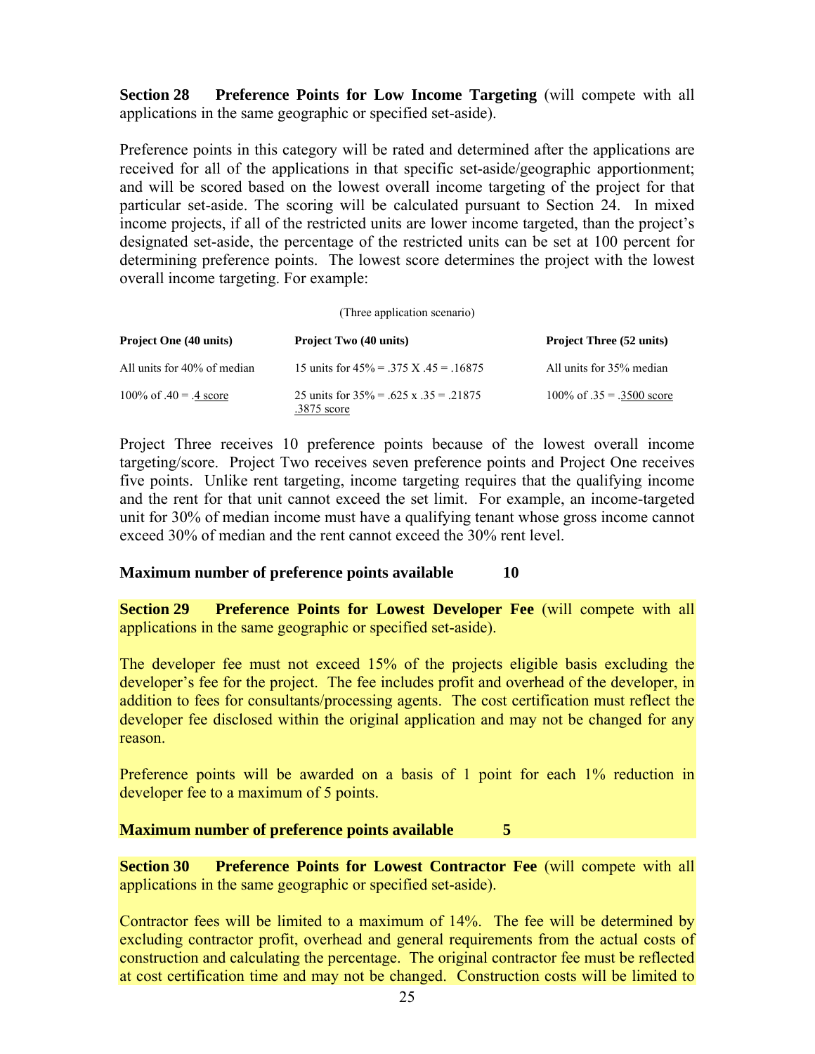**Section 28** Preference Points for Low Income Targeting (will compete with all applications in the same geographic or specified set-aside).

Preference points in this category will be rated and determined after the applications are received for all of the applications in that specific set-aside/geographic apportionment; and will be scored based on the lowest overall income targeting of the project for that particular set-aside. The scoring will be calculated pursuant to Section 24. In mixed income projects, if all of the restricted units are lower income targeted, than the project's designated set-aside, the percentage of the restricted units can be set at 100 percent for determining preference points. The lowest score determines the project with the lowest overall income targeting. For example:

#### (Three application scenario)

| <b>Project One (40 units)</b> | <b>Project Two (40 units)</b>                              | <b>Project Three (52 units)</b> |
|-------------------------------|------------------------------------------------------------|---------------------------------|
| All units for 40% of median   | 15 units for $45\% = .375$ X $.45 = .16875$                | All units for 35% median        |
| 100\% of $.40 = .4$ score     | 25 units for $35\% = .625$ x $.35 = .21875$<br>.3875 score | 100\% of $.35 = .3500$ score    |

Project Three receives 10 preference points because of the lowest overall income targeting/score. Project Two receives seven preference points and Project One receives five points. Unlike rent targeting, income targeting requires that the qualifying income and the rent for that unit cannot exceed the set limit. For example, an income-targeted unit for 30% of median income must have a qualifying tenant whose gross income cannot exceed 30% of median and the rent cannot exceed the 30% rent level.

#### **Maximum number of preference points available 10**

**Section 29 Preference Points for Lowest Developer Fee** (will compete with all applications in the same geographic or specified set-aside).

The developer fee must not exceed 15% of the projects eligible basis excluding the developer's fee for the project. The fee includes profit and overhead of the developer, in addition to fees for consultants/processing agents. The cost certification must reflect the developer fee disclosed within the original application and may not be changed for any reason.

Preference points will be awarded on a basis of 1 point for each 1% reduction in developer fee to a maximum of 5 points.

#### **Maximum number of preference points available 5**

**Section 30 Preference Points for Lowest Contractor Fee (will compete with all** applications in the same geographic or specified set-aside).

Contractor fees will be limited to a maximum of 14%. The fee will be determined by excluding contractor profit, overhead and general requirements from the actual costs of construction and calculating the percentage. The original contractor fee must be reflected at cost certification time and may not be changed. Construction costs will be limited to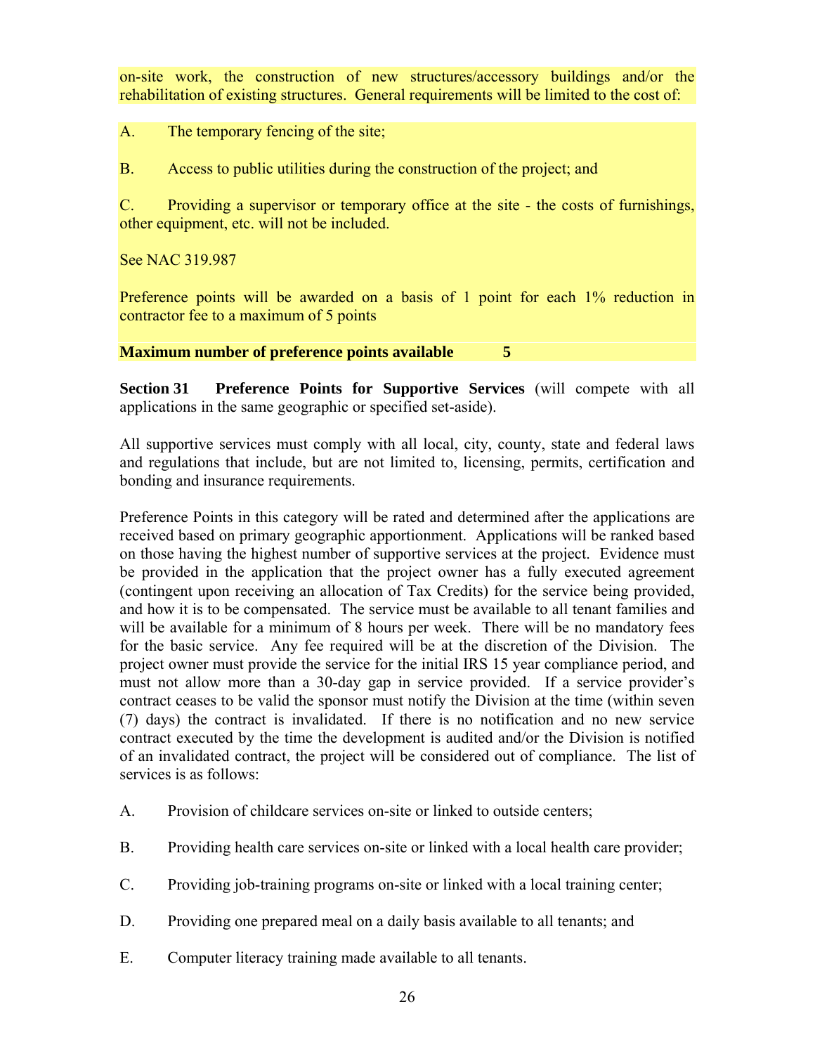on-site work, the construction of new structures/accessory buildings and/or the rehabilitation of existing structures. General requirements will be limited to the cost of:

A. The temporary fencing of the site;

B. Access to public utilities during the construction of the project; and

C. Providing a supervisor or temporary office at the site - the costs of furnishings, other equipment, etc. will not be included.

See NAC 319.987

Preference points will be awarded on a basis of 1 point for each 1% reduction in contractor fee to a maximum of 5 points

**Maximum number of preference points available 5** 

**Section 31 Preference Points for Supportive Services** (will compete with all applications in the same geographic or specified set-aside).

All supportive services must comply with all local, city, county, state and federal laws and regulations that include, but are not limited to, licensing, permits, certification and bonding and insurance requirements.

Preference Points in this category will be rated and determined after the applications are received based on primary geographic apportionment. Applications will be ranked based on those having the highest number of supportive services at the project. Evidence must be provided in the application that the project owner has a fully executed agreement (contingent upon receiving an allocation of Tax Credits) for the service being provided, and how it is to be compensated. The service must be available to all tenant families and will be available for a minimum of 8 hours per week. There will be no mandatory fees for the basic service. Any fee required will be at the discretion of the Division. The project owner must provide the service for the initial IRS 15 year compliance period, and must not allow more than a 30-day gap in service provided. If a service provider's contract ceases to be valid the sponsor must notify the Division at the time (within seven (7) days) the contract is invalidated. If there is no notification and no new service contract executed by the time the development is audited and/or the Division is notified of an invalidated contract, the project will be considered out of compliance. The list of services is as follows:

- A. Provision of childcare services on-site or linked to outside centers;
- B. Providing health care services on-site or linked with a local health care provider;
- C. Providing job-training programs on-site or linked with a local training center;
- D. Providing one prepared meal on a daily basis available to all tenants; and
- E. Computer literacy training made available to all tenants.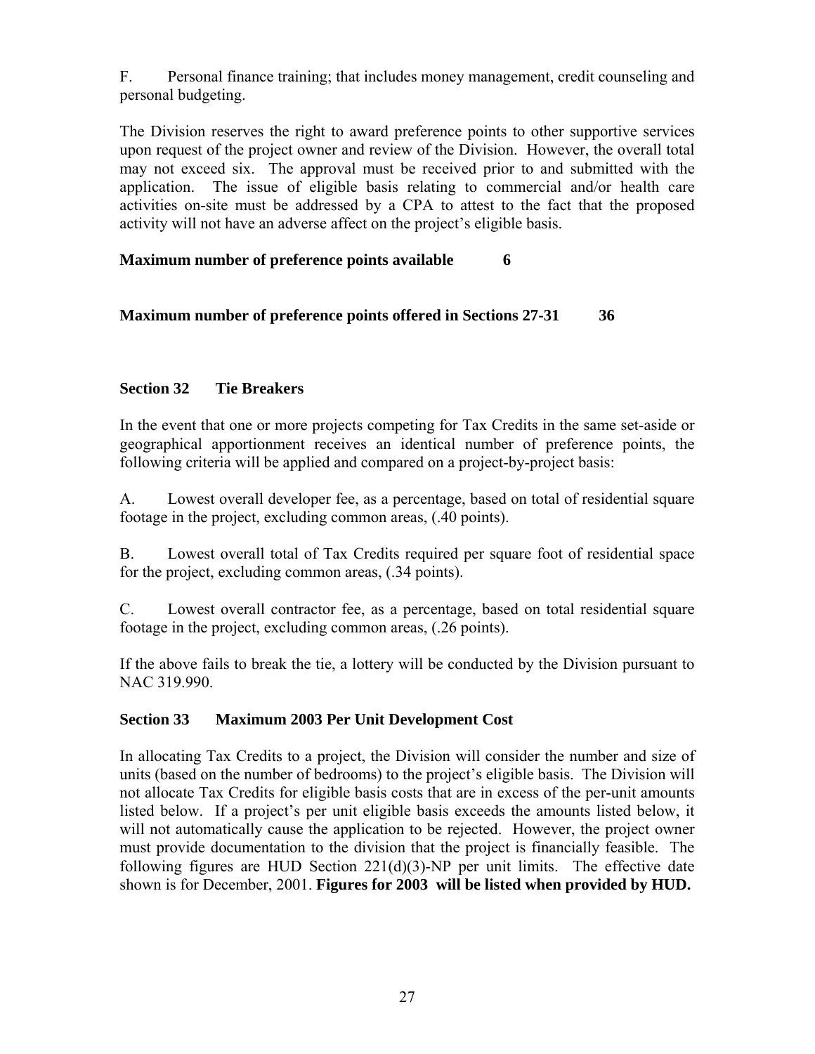F. Personal finance training; that includes money management, credit counseling and personal budgeting.

The Division reserves the right to award preference points to other supportive services upon request of the project owner and review of the Division. However, the overall total may not exceed six. The approval must be received prior to and submitted with the application. The issue of eligible basis relating to commercial and/or health care activities on-site must be addressed by a CPA to attest to the fact that the proposed activity will not have an adverse affect on the project's eligible basis.

# **Maximum number of preference points available 6**

# **Maximum number of preference points offered in Sections 27-31 36**

# **Section 32 Tie Breakers**

In the event that one or more projects competing for Tax Credits in the same set-aside or geographical apportionment receives an identical number of preference points, the following criteria will be applied and compared on a project-by-project basis:

A. Lowest overall developer fee, as a percentage, based on total of residential square footage in the project, excluding common areas, (.40 points).

B. Lowest overall total of Tax Credits required per square foot of residential space for the project, excluding common areas, (.34 points).

C. Lowest overall contractor fee, as a percentage, based on total residential square footage in the project, excluding common areas, (.26 points).

If the above fails to break the tie, a lottery will be conducted by the Division pursuant to NAC 319.990.

## **Section 33 Maximum 2003 Per Unit Development Cost**

In allocating Tax Credits to a project, the Division will consider the number and size of units (based on the number of bedrooms) to the project's eligible basis. The Division will not allocate Tax Credits for eligible basis costs that are in excess of the per-unit amounts listed below. If a project's per unit eligible basis exceeds the amounts listed below, it will not automatically cause the application to be rejected. However, the project owner must provide documentation to the division that the project is financially feasible. The following figures are HUD Section  $221(d)(3)$ -NP per unit limits. The effective date shown is for December, 2001. **Figures for 2003 will be listed when provided by HUD.**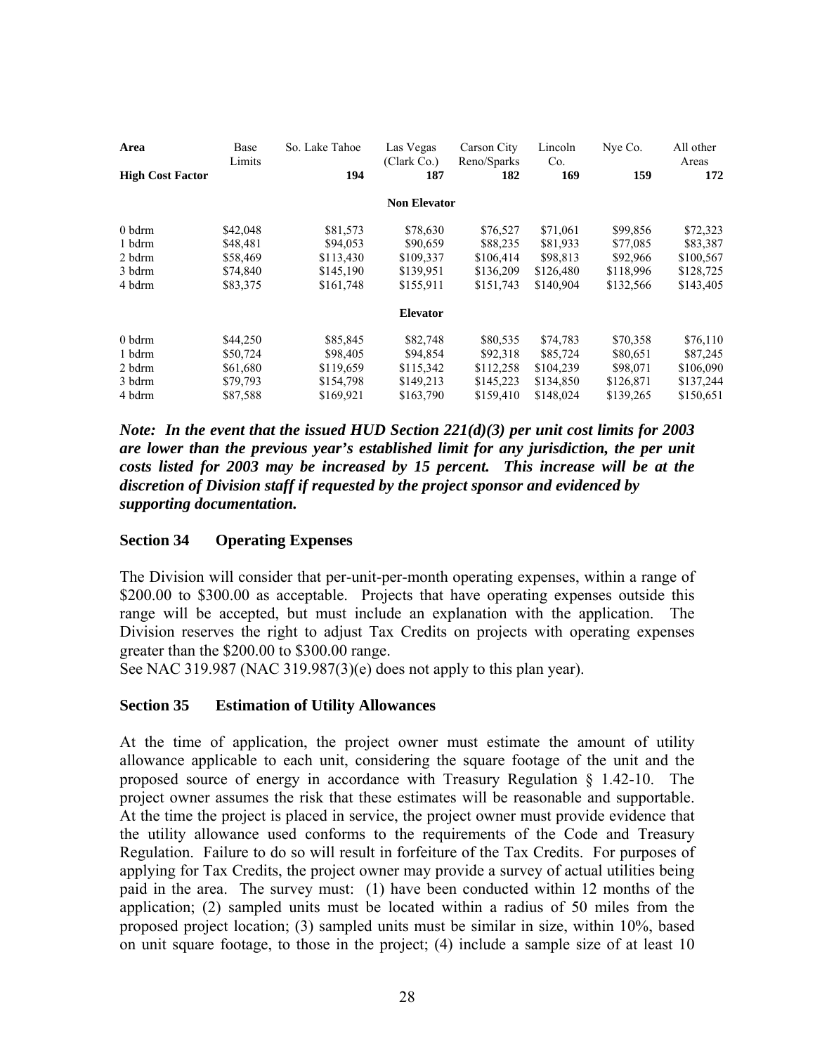| Area                    | Base<br>Limits | So. Lake Tahoe | Las Vegas<br>(Clark Co.) | Carson City<br>Reno/Sparks | Lincoln<br>Co. | Nye Co.   | All other<br>Areas |
|-------------------------|----------------|----------------|--------------------------|----------------------------|----------------|-----------|--------------------|
| <b>High Cost Factor</b> |                | 194            | 187                      | 182                        | 169            | 159       | 172                |
|                         |                |                | <b>Non Elevator</b>      |                            |                |           |                    |
| 0 bdrm                  | \$42,048       | \$81,573       | \$78,630                 | \$76,527                   | \$71,061       | \$99,856  | \$72,323           |
| 1 bdrm                  | \$48,481       | \$94,053       | \$90,659                 | \$88,235                   | \$81,933       | \$77,085  | \$83,387           |
| 2 bdrm                  | \$58,469       | \$113,430      | \$109,337                | \$106,414                  | \$98,813       | \$92,966  | \$100,567          |
| 3 bdrm                  | \$74,840       | \$145,190      | \$139,951                | \$136,209                  | \$126,480      | \$118,996 | \$128,725          |
| 4 bdrm                  | \$83,375       | \$161,748      | \$155,911                | \$151,743                  | \$140,904      | \$132,566 | \$143,405          |
|                         |                |                | <b>Elevator</b>          |                            |                |           |                    |
| 0 bdrm                  | \$44,250       | \$85,845       | \$82,748                 | \$80,535                   | \$74,783       | \$70,358  | \$76,110           |
| 1 bdrm                  | \$50,724       | \$98,405       | \$94,854                 | \$92,318                   | \$85,724       | \$80,651  | \$87,245           |
| 2 bdrm                  | \$61,680       | \$119,659      | \$115,342                | \$112,258                  | \$104,239      | \$98,071  | \$106,090          |
| 3 bdrm                  | \$79,793       | \$154,798      | \$149,213                | \$145,223                  | \$134,850      | \$126,871 | \$137,244          |
| 4 bdrm                  | \$87,588       | \$169,921      | \$163,790                | \$159,410                  | \$148,024      | \$139,265 | \$150,651          |

*Note: In the event that the issued HUD Section 221(d)(3) per unit cost limits for 2003 are lower than the previous year's established limit for any jurisdiction, the per unit costs listed for 2003 may be increased by 15 percent. This increase will be at the discretion of Division staff if requested by the project sponsor and evidenced by supporting documentation.* 

#### **Section 34 Operating Expenses**

The Division will consider that per-unit-per-month operating expenses, within a range of \$200.00 to \$300.00 as acceptable. Projects that have operating expenses outside this range will be accepted, but must include an explanation with the application. The Division reserves the right to adjust Tax Credits on projects with operating expenses greater than the \$200.00 to \$300.00 range.

See NAC 319.987 (NAC 319.987(3)(e) does not apply to this plan year).

#### **Section 35 Estimation of Utility Allowances**

At the time of application, the project owner must estimate the amount of utility allowance applicable to each unit, considering the square footage of the unit and the proposed source of energy in accordance with Treasury Regulation § 1.42-10. The project owner assumes the risk that these estimates will be reasonable and supportable. At the time the project is placed in service, the project owner must provide evidence that the utility allowance used conforms to the requirements of the Code and Treasury Regulation. Failure to do so will result in forfeiture of the Tax Credits. For purposes of applying for Tax Credits, the project owner may provide a survey of actual utilities being paid in the area. The survey must: (1) have been conducted within 12 months of the application; (2) sampled units must be located within a radius of 50 miles from the proposed project location; (3) sampled units must be similar in size, within 10%, based on unit square footage, to those in the project; (4) include a sample size of at least 10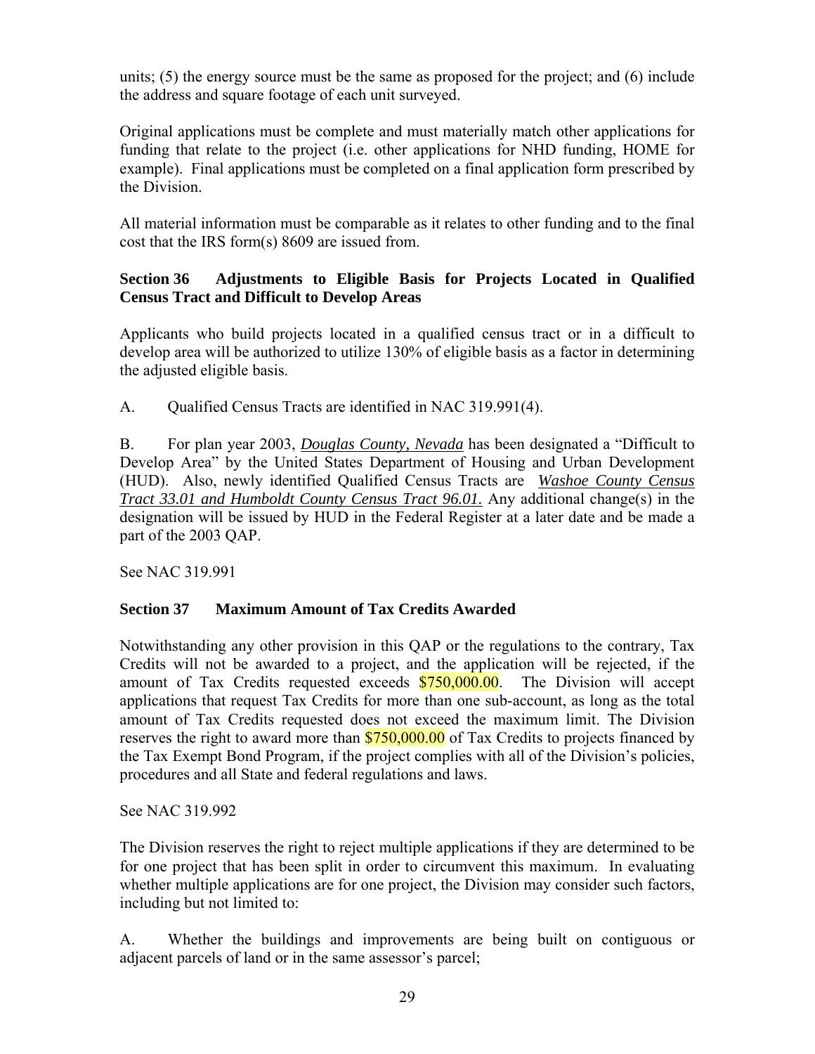units; (5) the energy source must be the same as proposed for the project; and (6) include the address and square footage of each unit surveyed.

Original applications must be complete and must materially match other applications for funding that relate to the project (i.e. other applications for NHD funding, HOME for example). Final applications must be completed on a final application form prescribed by the Division.

All material information must be comparable as it relates to other funding and to the final cost that the IRS form(s) 8609 are issued from.

# **Section 36 Adjustments to Eligible Basis for Projects Located in Qualified Census Tract and Difficult to Develop Areas**

Applicants who build projects located in a qualified census tract or in a difficult to develop area will be authorized to utilize 130% of eligible basis as a factor in determining the adjusted eligible basis.

A. Qualified Census Tracts are identified in NAC 319.991(4).

B. For plan year 2003, *Douglas County, Nevada* has been designated a "Difficult to Develop Area" by the United States Department of Housing and Urban Development (HUD). Also, newly identified Qualified Census Tracts are *Washoe County Census Tract 33.01 and Humboldt County Census Tract 96.01.* Any additional change(s) in the designation will be issued by HUD in the Federal Register at a later date and be made a part of the 2003 QAP.

See NAC 319.991

# **Section 37 Maximum Amount of Tax Credits Awarded**

Notwithstanding any other provision in this QAP or the regulations to the contrary, Tax Credits will not be awarded to a project, and the application will be rejected, if the amount of Tax Credits requested exceeds  $$750,000.00$ . The Division will accept applications that request Tax Credits for more than one sub-account, as long as the total amount of Tax Credits requested does not exceed the maximum limit. The Division reserves the right to award more than \$750,000.00 of Tax Credits to projects financed by the Tax Exempt Bond Program, if the project complies with all of the Division's policies, procedures and all State and federal regulations and laws.

See NAC 319.992

The Division reserves the right to reject multiple applications if they are determined to be for one project that has been split in order to circumvent this maximum. In evaluating whether multiple applications are for one project, the Division may consider such factors, including but not limited to:

A. Whether the buildings and improvements are being built on contiguous or adjacent parcels of land or in the same assessor's parcel;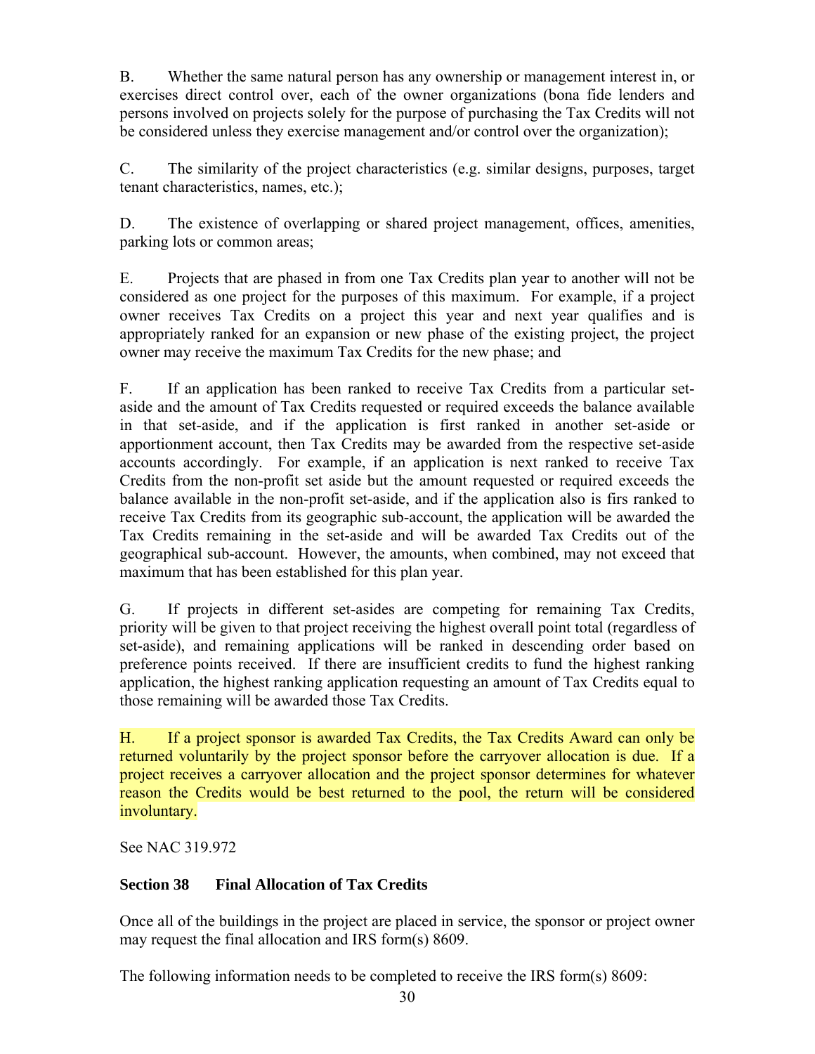B. Whether the same natural person has any ownership or management interest in, or exercises direct control over, each of the owner organizations (bona fide lenders and persons involved on projects solely for the purpose of purchasing the Tax Credits will not be considered unless they exercise management and/or control over the organization);

C. The similarity of the project characteristics (e.g. similar designs, purposes, target tenant characteristics, names, etc.);

D. The existence of overlapping or shared project management, offices, amenities, parking lots or common areas;

E. Projects that are phased in from one Tax Credits plan year to another will not be considered as one project for the purposes of this maximum. For example, if a project owner receives Tax Credits on a project this year and next year qualifies and is appropriately ranked for an expansion or new phase of the existing project, the project owner may receive the maximum Tax Credits for the new phase; and

F. If an application has been ranked to receive Tax Credits from a particular setaside and the amount of Tax Credits requested or required exceeds the balance available in that set-aside, and if the application is first ranked in another set-aside or apportionment account, then Tax Credits may be awarded from the respective set-aside accounts accordingly. For example, if an application is next ranked to receive Tax Credits from the non-profit set aside but the amount requested or required exceeds the balance available in the non-profit set-aside, and if the application also is firs ranked to receive Tax Credits from its geographic sub-account, the application will be awarded the Tax Credits remaining in the set-aside and will be awarded Tax Credits out of the geographical sub-account. However, the amounts, when combined, may not exceed that maximum that has been established for this plan year.

G. If projects in different set-asides are competing for remaining Tax Credits, priority will be given to that project receiving the highest overall point total (regardless of set-aside), and remaining applications will be ranked in descending order based on preference points received. If there are insufficient credits to fund the highest ranking application, the highest ranking application requesting an amount of Tax Credits equal to those remaining will be awarded those Tax Credits.

H. If a project sponsor is awarded Tax Credits, the Tax Credits Award can only be returned voluntarily by the project sponsor before the carryover allocation is due. If a project receives a carryover allocation and the project sponsor determines for whatever reason the Credits would be best returned to the pool, the return will be considered involuntary.

See NAC 319.972

# **Section 38 Final Allocation of Tax Credits**

Once all of the buildings in the project are placed in service, the sponsor or project owner may request the final allocation and IRS form(s) 8609.

The following information needs to be completed to receive the IRS form(s) 8609: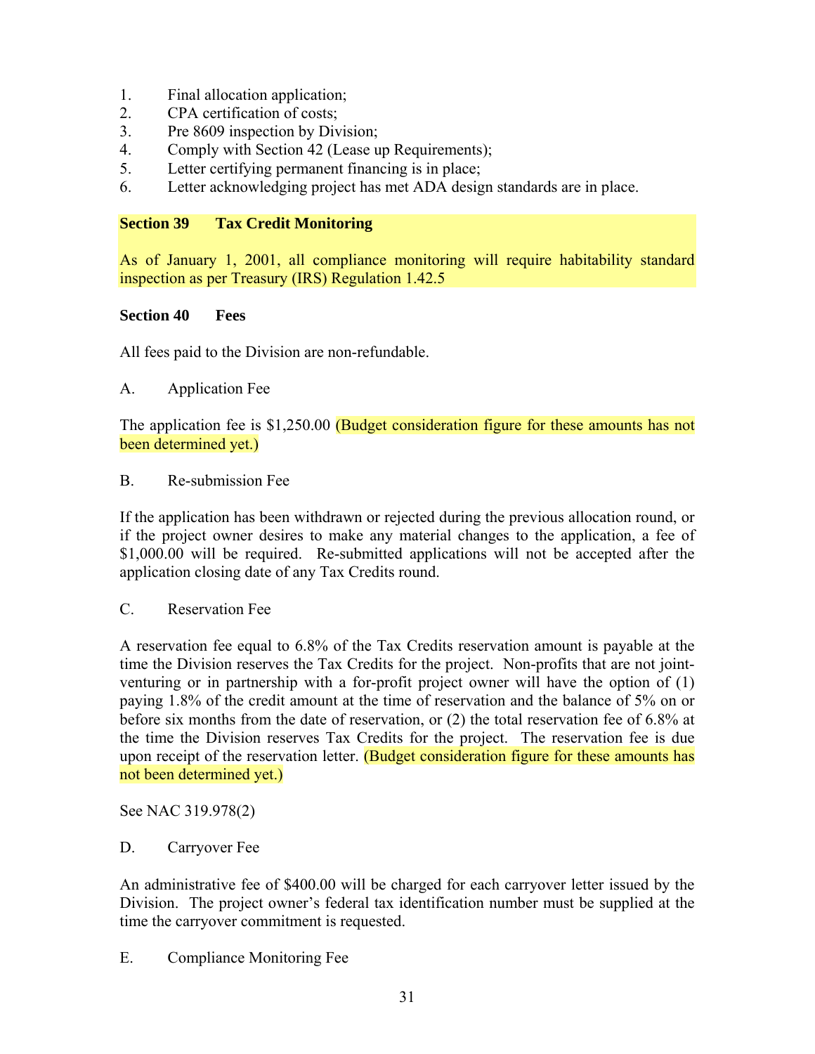- 1. Final allocation application;
- 2. CPA certification of costs;
- 3. Pre 8609 inspection by Division;
- 4. Comply with Section 42 (Lease up Requirements);
- 5. Letter certifying permanent financing is in place;
- 6. Letter acknowledging project has met ADA design standards are in place.

## **Section 39 Tax Credit Monitoring**

As of January 1, 2001, all compliance monitoring will require habitability standard inspection as per Treasury (IRS) Regulation 1.42.5

## **Section 40 Fees**

All fees paid to the Division are non-refundable.

A. Application Fee

The application fee is \$1,250.00 (Budget consideration figure for these amounts has not been determined yet.)

#### B. Re-submission Fee

If the application has been withdrawn or rejected during the previous allocation round, or if the project owner desires to make any material changes to the application, a fee of \$1,000.00 will be required. Re-submitted applications will not be accepted after the application closing date of any Tax Credits round.

C. Reservation Fee

A reservation fee equal to 6.8% of the Tax Credits reservation amount is payable at the time the Division reserves the Tax Credits for the project. Non-profits that are not jointventuring or in partnership with a for-profit project owner will have the option of (1) paying 1.8% of the credit amount at the time of reservation and the balance of 5% on or before six months from the date of reservation, or (2) the total reservation fee of 6.8% at the time the Division reserves Tax Credits for the project. The reservation fee is due upon receipt of the reservation letter. (Budget consideration figure for these amounts has not been determined yet.)

See NAC 319.978(2)

## D. Carryover Fee

An administrative fee of \$400.00 will be charged for each carryover letter issued by the Division. The project owner's federal tax identification number must be supplied at the time the carryover commitment is requested.

E. Compliance Monitoring Fee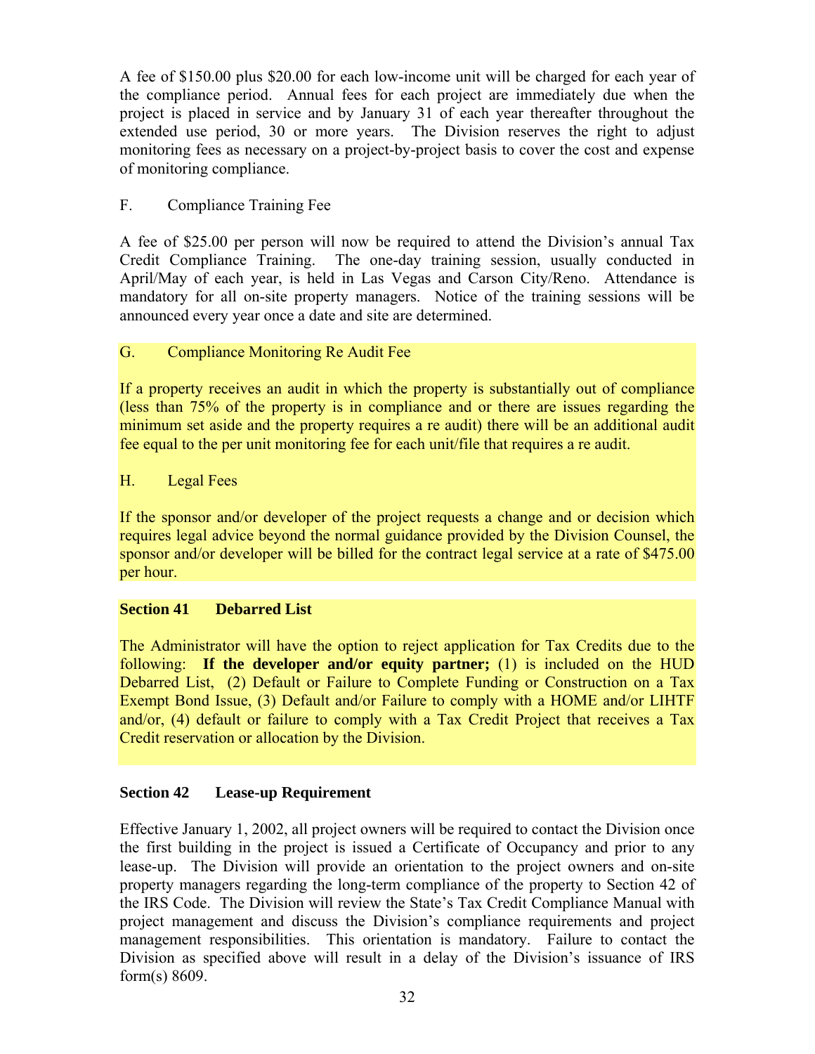A fee of \$150.00 plus \$20.00 for each low-income unit will be charged for each year of the compliance period. Annual fees for each project are immediately due when the project is placed in service and by January 31 of each year thereafter throughout the extended use period, 30 or more years. The Division reserves the right to adjust monitoring fees as necessary on a project-by-project basis to cover the cost and expense of monitoring compliance.

# F. Compliance Training Fee

A fee of \$25.00 per person will now be required to attend the Division's annual Tax Credit Compliance Training. The one-day training session, usually conducted in April/May of each year, is held in Las Vegas and Carson City/Reno. Attendance is mandatory for all on-site property managers. Notice of the training sessions will be announced every year once a date and site are determined.

## G. Compliance Monitoring Re Audit Fee

If a property receives an audit in which the property is substantially out of compliance (less than 75% of the property is in compliance and or there are issues regarding the minimum set aside and the property requires a re audit) there will be an additional audit fee equal to the per unit monitoring fee for each unit/file that requires a re audit.

# H. Legal Fees

If the sponsor and/or developer of the project requests a change and or decision which requires legal advice beyond the normal guidance provided by the Division Counsel, the sponsor and/or developer will be billed for the contract legal service at a rate of \$475.00 per hour.

## **Section 41 Debarred List**

The Administrator will have the option to reject application for Tax Credits due to the following: **If the developer and/or equity partner;** (1) is included on the HUD Debarred List, (2) Default or Failure to Complete Funding or Construction on a Tax Exempt Bond Issue, (3) Default and/or Failure to comply with a HOME and/or LIHTF and/or, (4) default or failure to comply with a Tax Credit Project that receives a Tax Credit reservation or allocation by the Division.

## **Section 42 Lease-up Requirement**

Effective January 1, 2002, all project owners will be required to contact the Division once the first building in the project is issued a Certificate of Occupancy and prior to any lease-up. The Division will provide an orientation to the project owners and on-site property managers regarding the long-term compliance of the property to Section 42 of the IRS Code. The Division will review the State's Tax Credit Compliance Manual with project management and discuss the Division's compliance requirements and project management responsibilities. This orientation is mandatory. Failure to contact the Division as specified above will result in a delay of the Division's issuance of IRS form(s) 8609.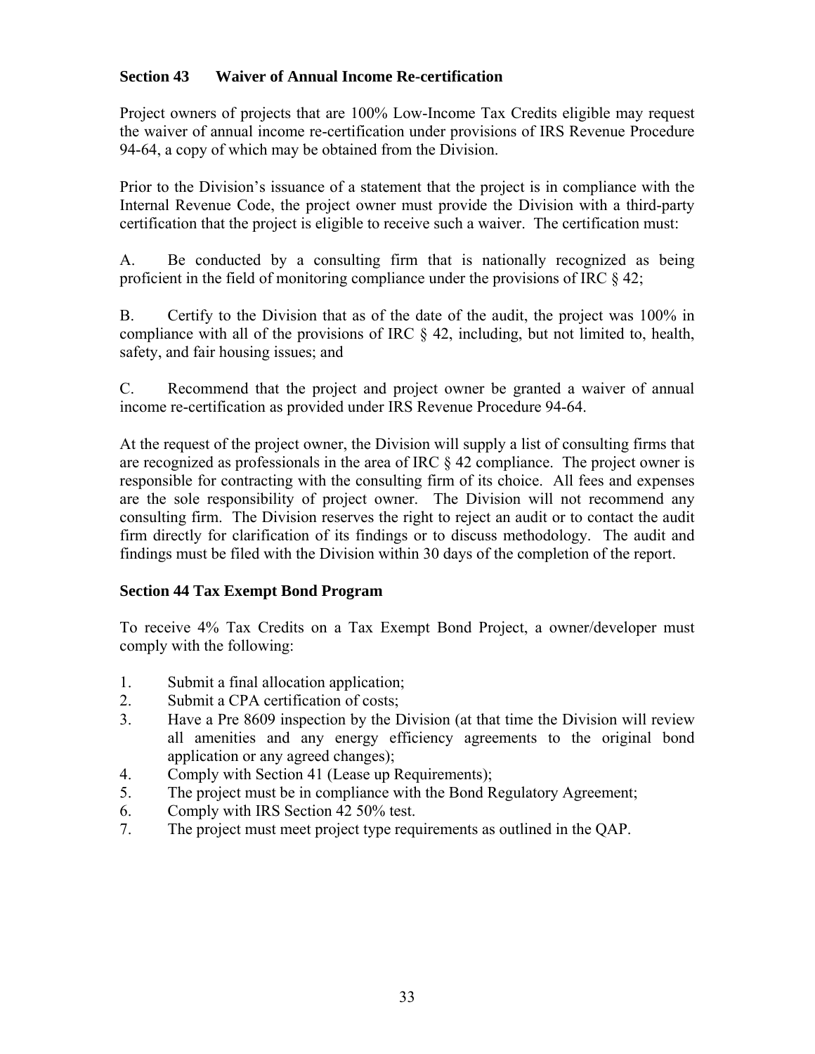## **Section 43 Waiver of Annual Income Re-certification**

Project owners of projects that are 100% Low-Income Tax Credits eligible may request the waiver of annual income re-certification under provisions of IRS Revenue Procedure 94-64, a copy of which may be obtained from the Division.

Prior to the Division's issuance of a statement that the project is in compliance with the Internal Revenue Code, the project owner must provide the Division with a third-party certification that the project is eligible to receive such a waiver. The certification must:

A. Be conducted by a consulting firm that is nationally recognized as being proficient in the field of monitoring compliance under the provisions of IRC § 42;

B. Certify to the Division that as of the date of the audit, the project was 100% in compliance with all of the provisions of IRC § 42, including, but not limited to, health, safety, and fair housing issues; and

C. Recommend that the project and project owner be granted a waiver of annual income re-certification as provided under IRS Revenue Procedure 94-64.

At the request of the project owner, the Division will supply a list of consulting firms that are recognized as professionals in the area of IRC § 42 compliance. The project owner is responsible for contracting with the consulting firm of its choice. All fees and expenses are the sole responsibility of project owner. The Division will not recommend any consulting firm. The Division reserves the right to reject an audit or to contact the audit firm directly for clarification of its findings or to discuss methodology. The audit and findings must be filed with the Division within 30 days of the completion of the report.

## **Section 44 Tax Exempt Bond Program**

To receive 4% Tax Credits on a Tax Exempt Bond Project, a owner/developer must comply with the following:

- 1. Submit a final allocation application;
- 2. Submit a CPA certification of costs;
- 3. Have a Pre 8609 inspection by the Division (at that time the Division will review all amenities and any energy efficiency agreements to the original bond application or any agreed changes);
- 4. Comply with Section 41 (Lease up Requirements);
- 5. The project must be in compliance with the Bond Regulatory Agreement;
- 6. Comply with IRS Section 42 50% test.
- 7. The project must meet project type requirements as outlined in the QAP.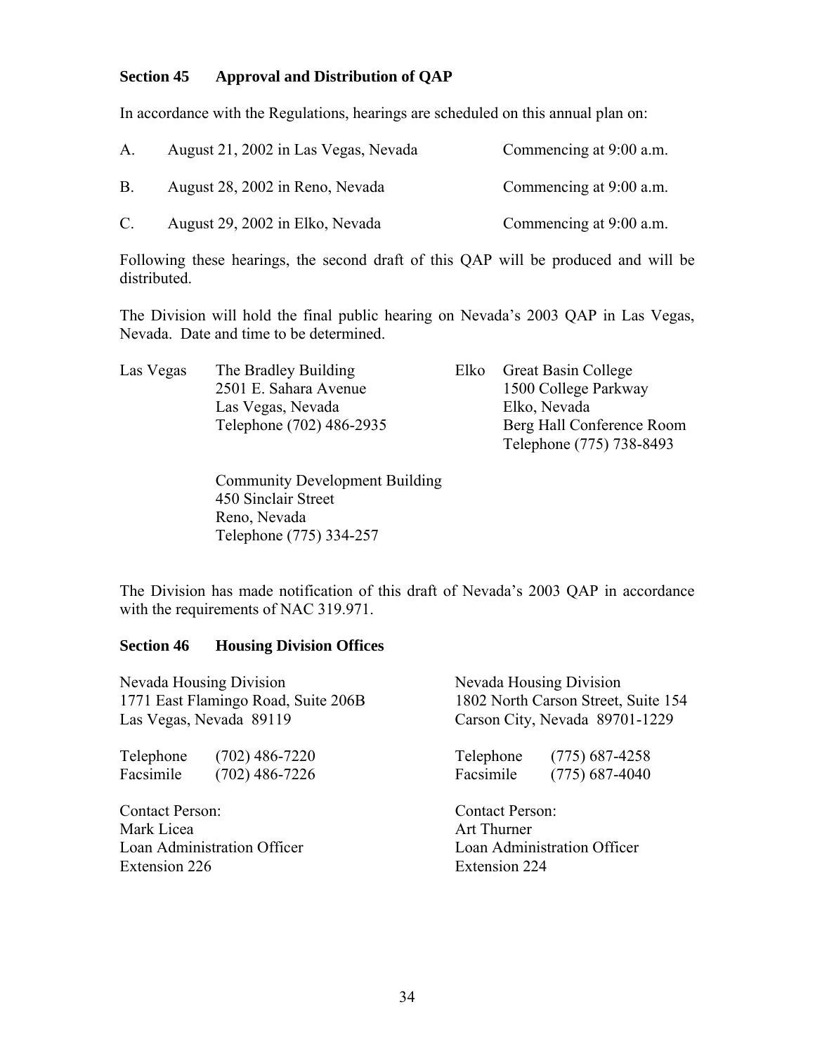#### **Section 45 Approval and Distribution of QAP**

In accordance with the Regulations, hearings are scheduled on this annual plan on:

| $A_{-}$   | August 21, 2002 in Las Vegas, Nevada | Commencing at 9:00 a.m. |
|-----------|--------------------------------------|-------------------------|
| <b>B.</b> | August 28, 2002 in Reno, Nevada      | Commencing at 9:00 a.m. |
| C.        | August 29, 2002 in Elko, Nevada      | Commencing at 9:00 a.m. |

Following these hearings, the second draft of this QAP will be produced and will be distributed.

The Division will hold the final public hearing on Nevada's 2003 QAP in Las Vegas, Nevada. Date and time to be determined.

| Las Vegas | The Bradley Building     | Elko Great Basin College  |
|-----------|--------------------------|---------------------------|
|           | 2501 E. Sahara Avenue    | 1500 College Parkway      |
|           | Las Vegas, Nevada        | Elko, Nevada              |
|           | Telephone (702) 486-2935 | Berg Hall Conference Room |
|           |                          | Telephone (775) 738-8493  |

Community Development Building 450 Sinclair Street Reno, Nevada Telephone (775) 334-257

The Division has made notification of this draft of Nevada's 2003 QAP in accordance with the requirements of NAC 319.971.

#### **Section 46 Housing Division Offices**

| <b>Nevada Housing Division</b>      | Nevada Housing Division             |  |  |
|-------------------------------------|-------------------------------------|--|--|
| 1771 East Flamingo Road, Suite 206B | 1802 North Carson Street, Suite 154 |  |  |
| Las Vegas, Nevada 89119             | Carson City, Nevada 89701-1229      |  |  |
| $(702)$ 486-7220                    | Telephone                           |  |  |
| Telephone                           | $(775)$ 687-4258                    |  |  |
| Facsimile                           | Facsimile                           |  |  |
| $(702)$ 486-7226                    | $(775)$ 687-4040                    |  |  |
| <b>Contact Person:</b>              | <b>Contact Person:</b>              |  |  |
| Mark Licea                          | Art Thurner                         |  |  |
| <b>Loan Administration Officer</b>  | Loan Administration Officer         |  |  |
| Extension 226                       | <b>Extension 224</b>                |  |  |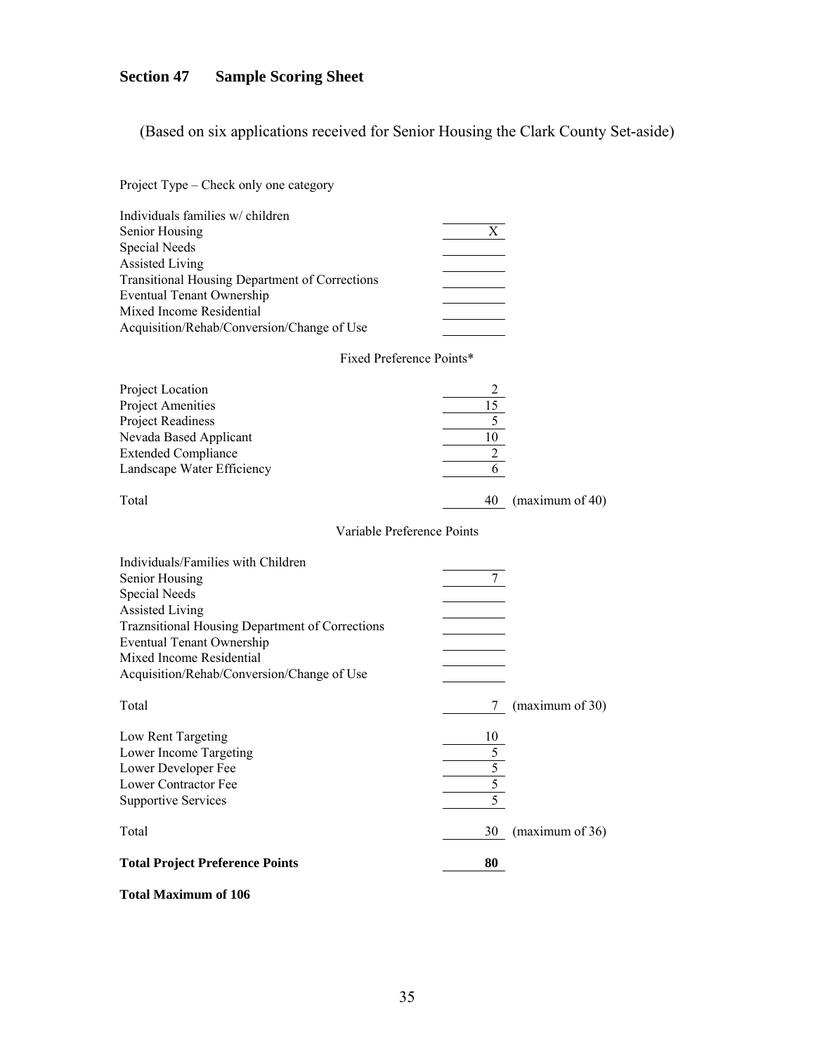# **Section 47 Sample Scoring Sheet**

(Based on six applications received for Senior Housing the Clark County Set-aside)

| Project Type – Check only one category                                                                                                                                                                                                                               |                                                    |                 |
|----------------------------------------------------------------------------------------------------------------------------------------------------------------------------------------------------------------------------------------------------------------------|----------------------------------------------------|-----------------|
| Individuals families w/ children<br>Senior Housing<br>Special Needs<br><b>Assisted Living</b><br><b>Transitional Housing Department of Corrections</b><br><b>Eventual Tenant Ownership</b><br>Mixed Income Residential<br>Acquisition/Rehab/Conversion/Change of Use | X                                                  |                 |
| Fixed Preference Points*                                                                                                                                                                                                                                             |                                                    |                 |
| Project Location<br><b>Project Amenities</b><br>Project Readiness<br>Nevada Based Applicant<br><b>Extended Compliance</b><br>Landscape Water Efficiency                                                                                                              | $\frac{1}{10}$<br>$\overline{2}$<br>$\overline{6}$ |                 |
| Total                                                                                                                                                                                                                                                                | 40                                                 | (maximum of 40) |
| Variable Preference Points                                                                                                                                                                                                                                           |                                                    |                 |
| Individuals/Families with Children<br>Senior Housing<br>Special Needs<br><b>Assisted Living</b><br>Traznsitional Housing Department of Corrections<br><b>Eventual Tenant Ownership</b><br>Mixed Income Residential<br>Acquisition/Rehab/Conversion/Change of Use     | $\mathcal{I}$                                      |                 |
| Total                                                                                                                                                                                                                                                                | $\mathcal{L}$                                      | (maximum of 30) |
| Low Rent Targeting<br>Lower Income Targeting<br>Lower Developer Fee<br>Lower Contractor Fee<br><b>Supportive Services</b>                                                                                                                                            | 5                                                  |                 |
| Total                                                                                                                                                                                                                                                                | 30                                                 | (maximum of 36) |
| <b>Total Project Preference Points</b>                                                                                                                                                                                                                               | 80                                                 |                 |

#### **Total Maximum of 106**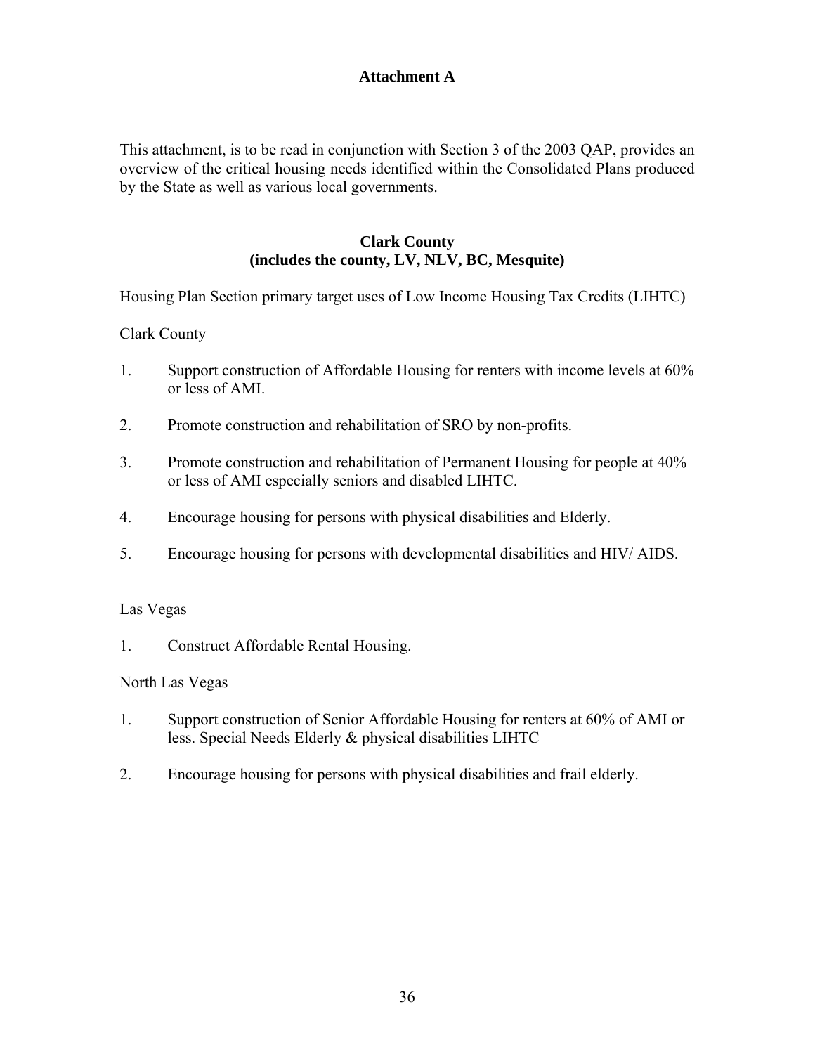# **Attachment A**

This attachment, is to be read in conjunction with Section 3 of the 2003 QAP, provides an overview of the critical housing needs identified within the Consolidated Plans produced by the State as well as various local governments.

#### **Clark County (includes the county, LV, NLV, BC, Mesquite)**

Housing Plan Section primary target uses of Low Income Housing Tax Credits (LIHTC)

#### Clark County

- 1. Support construction of Affordable Housing for renters with income levels at 60% or less of AMI.
- 2. Promote construction and rehabilitation of SRO by non-profits.
- 3. Promote construction and rehabilitation of Permanent Housing for people at 40% or less of AMI especially seniors and disabled LIHTC.
- 4. Encourage housing for persons with physical disabilities and Elderly.
- 5. Encourage housing for persons with developmental disabilities and HIV/ AIDS.

#### Las Vegas

1. Construct Affordable Rental Housing.

#### North Las Vegas

- 1. Support construction of Senior Affordable Housing for renters at 60% of AMI or less. Special Needs Elderly & physical disabilities LIHTC
- 2. Encourage housing for persons with physical disabilities and frail elderly.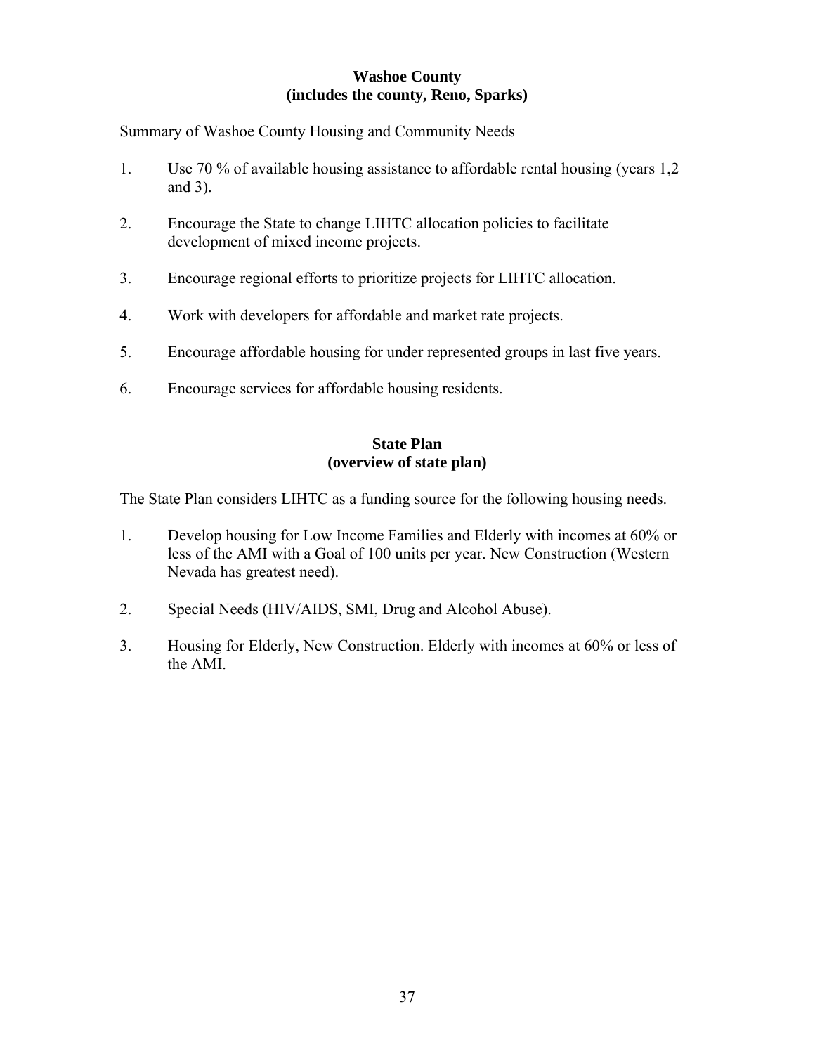#### **Washoe County (includes the county, Reno, Sparks)**

Summary of Washoe County Housing and Community Needs

- 1. Use 70 % of available housing assistance to affordable rental housing (years 1,2 and 3).
- 2. Encourage the State to change LIHTC allocation policies to facilitate development of mixed income projects.
- 3. Encourage regional efforts to prioritize projects for LIHTC allocation.
- 4. Work with developers for affordable and market rate projects.
- 5. Encourage affordable housing for under represented groups in last five years.
- 6. Encourage services for affordable housing residents.

#### **State Plan (overview of state plan)**

The State Plan considers LIHTC as a funding source for the following housing needs.

- 1. Develop housing for Low Income Families and Elderly with incomes at 60% or less of the AMI with a Goal of 100 units per year. New Construction (Western Nevada has greatest need).
- 2. Special Needs (HIV/AIDS, SMI, Drug and Alcohol Abuse).
- 3. Housing for Elderly, New Construction. Elderly with incomes at 60% or less of the AMI.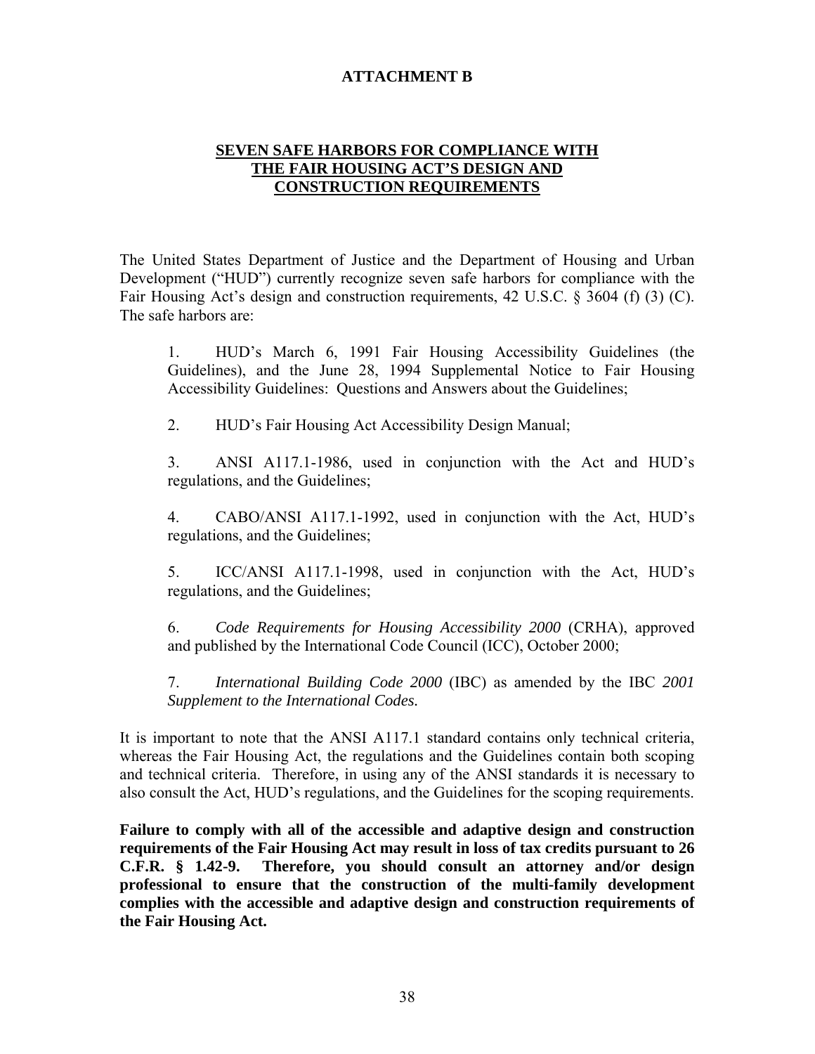## **ATTACHMENT B**

#### **SEVEN SAFE HARBORS FOR COMPLIANCE WITH THE FAIR HOUSING ACT'S DESIGN AND CONSTRUCTION REQUIREMENTS**

The United States Department of Justice and the Department of Housing and Urban Development ("HUD") currently recognize seven safe harbors for compliance with the Fair Housing Act's design and construction requirements, 42 U.S.C. § 3604 (f) (3) (C). The safe harbors are:

1. HUD's March 6, 1991 Fair Housing Accessibility Guidelines (the Guidelines), and the June 28, 1994 Supplemental Notice to Fair Housing Accessibility Guidelines: Questions and Answers about the Guidelines;

2. HUD's Fair Housing Act Accessibility Design Manual;

3. ANSI A117.1-1986, used in conjunction with the Act and HUD's regulations, and the Guidelines;

4. CABO/ANSI A117.1-1992, used in conjunction with the Act, HUD's regulations, and the Guidelines;

5. ICC/ANSI A117.1-1998, used in conjunction with the Act, HUD's regulations, and the Guidelines;

6. *Code Requirements for Housing Accessibility 2000* (CRHA), approved and published by the International Code Council (ICC), October 2000;

7. *International Building Code 2000* (IBC) as amended by the IBC *2001 Supplement to the International Codes.*

It is important to note that the ANSI A117.1 standard contains only technical criteria, whereas the Fair Housing Act, the regulations and the Guidelines contain both scoping and technical criteria. Therefore, in using any of the ANSI standards it is necessary to also consult the Act, HUD's regulations, and the Guidelines for the scoping requirements.

**Failure to comply with all of the accessible and adaptive design and construction requirements of the Fair Housing Act may result in loss of tax credits pursuant to 26 C.F.R. § 1.42-9. Therefore, you should consult an attorney and/or design professional to ensure that the construction of the multi-family development complies with the accessible and adaptive design and construction requirements of the Fair Housing Act.**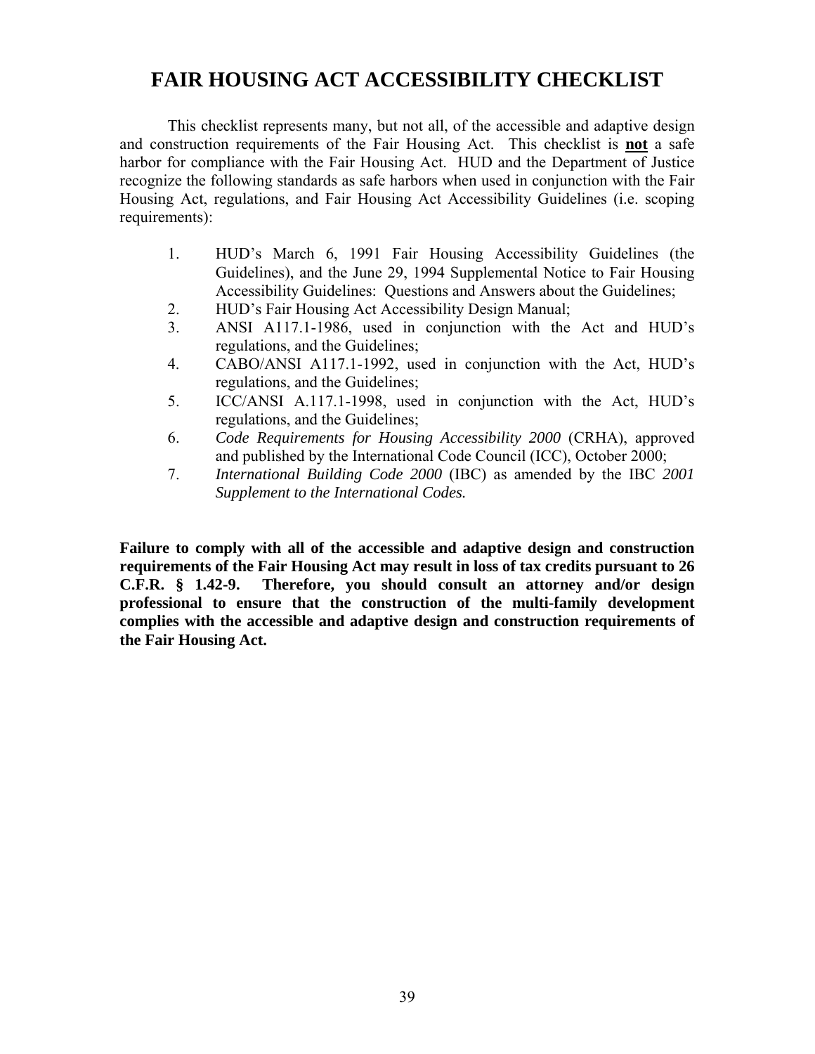# **FAIR HOUSING ACT ACCESSIBILITY CHECKLIST**

 This checklist represents many, but not all, of the accessible and adaptive design and construction requirements of the Fair Housing Act. This checklist is **not** a safe harbor for compliance with the Fair Housing Act. HUD and the Department of Justice recognize the following standards as safe harbors when used in conjunction with the Fair Housing Act, regulations, and Fair Housing Act Accessibility Guidelines (i.e. scoping requirements):

- 1. HUD's March 6, 1991 Fair Housing Accessibility Guidelines (the Guidelines), and the June 29, 1994 Supplemental Notice to Fair Housing Accessibility Guidelines: Questions and Answers about the Guidelines;
- 2. HUD's Fair Housing Act Accessibility Design Manual;
- 3. ANSI A117.1-1986, used in conjunction with the Act and HUD's regulations, and the Guidelines;
- 4. CABO/ANSI A117.1-1992, used in conjunction with the Act, HUD's regulations, and the Guidelines;
- 5. ICC/ANSI A.117.1-1998, used in conjunction with the Act, HUD's regulations, and the Guidelines;
- 6. *Code Requirements for Housing Accessibility 2000* (CRHA), approved and published by the International Code Council (ICC), October 2000;
- 7. *International Building Code 2000* (IBC) as amended by the IBC *2001 Supplement to the International Codes.*

**Failure to comply with all of the accessible and adaptive design and construction requirements of the Fair Housing Act may result in loss of tax credits pursuant to 26 C.F.R. § 1.42-9. Therefore, you should consult an attorney and/or design professional to ensure that the construction of the multi-family development complies with the accessible and adaptive design and construction requirements of the Fair Housing Act.**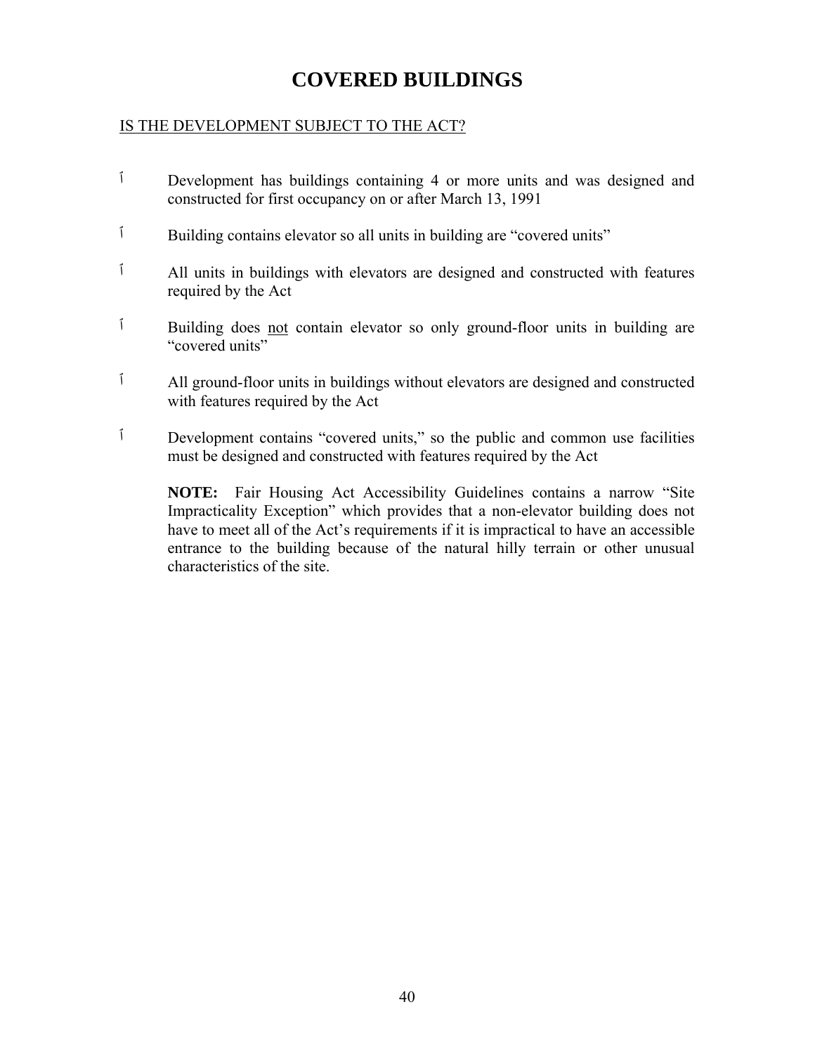# **COVERED BUILDINGS**

## IS THE DEVELOPMENT SUBJECT TO THE ACT?

- ٱ Development has buildings containing 4 or more units and was designed and constructed for first occupancy on or after March 13, 1991
- ٱ Building contains elevator so all units in building are "covered units"
- ٱ All units in buildings with elevators are designed and constructed with features required by the Act
- ٱ Building does not contain elevator so only ground-floor units in building are "covered units"
- ٱ All ground-floor units in buildings without elevators are designed and constructed with features required by the Act
- ٱ Development contains "covered units," so the public and common use facilities must be designed and constructed with features required by the Act

**NOTE:** Fair Housing Act Accessibility Guidelines contains a narrow "Site Impracticality Exception" which provides that a non-elevator building does not have to meet all of the Act's requirements if it is impractical to have an accessible entrance to the building because of the natural hilly terrain or other unusual characteristics of the site.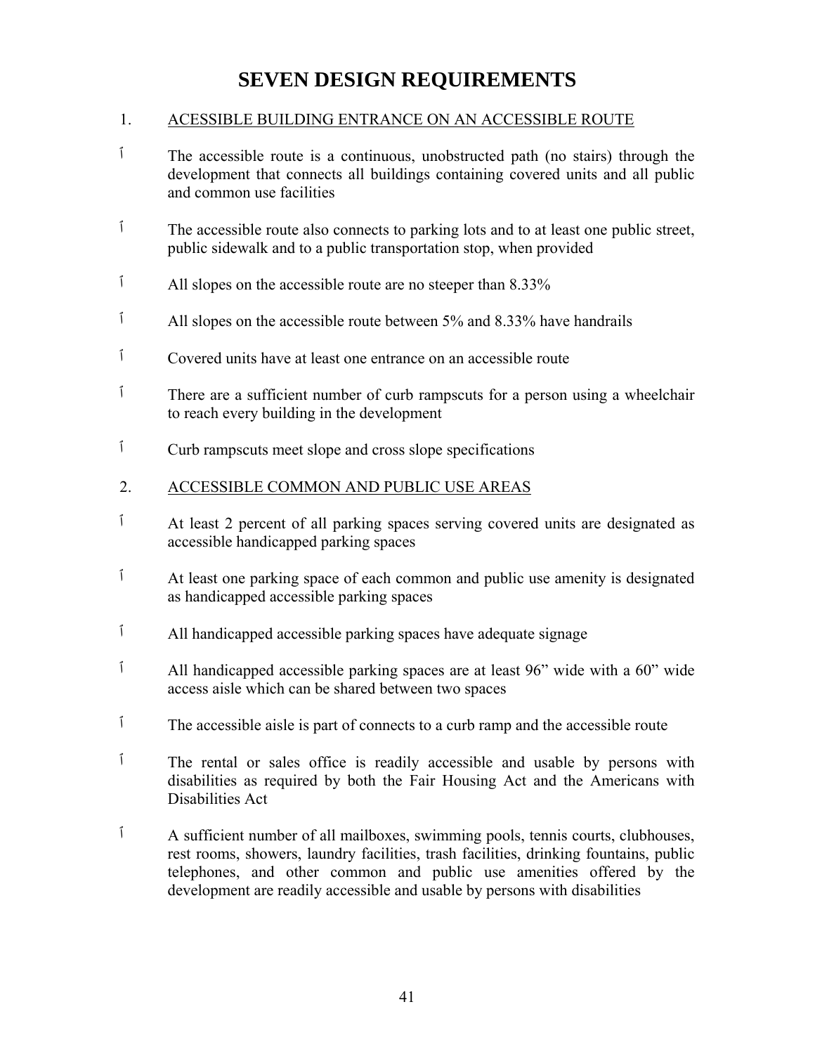# **SEVEN DESIGN REQUIREMENTS**

# 1. ACESSIBLE BUILDING ENTRANCE ON AN ACCESSIBLE ROUTE

- $\hat{I}$  The accessible route is a continuous, unobstructed path (no stairs) through the development that connects all buildings containing covered units and all public and common use facilities
- <sup>1</sup> The accessible route also connects to parking lots and to at least one public street, public sidewalk and to a public transportation stop, when provided
- <sup>1</sup> All slopes on the accessible route are no steeper than 8.33%
- ٱ All slopes on the accessible route between 5% and 8.33% have handrails
- ٱ Covered units have at least one entrance on an accessible route
- ٱ There are a sufficient number of curb rampscuts for a person using a wheelchair to reach every building in the development
- ٱ Curb rampscuts meet slope and cross slope specifications

## 2. ACCESSIBLE COMMON AND PUBLIC USE AREAS

- ٱ At least 2 percent of all parking spaces serving covered units are designated as accessible handicapped parking spaces
- ٱ At least one parking space of each common and public use amenity is designated as handicapped accessible parking spaces
- ٱ All handicapped accessible parking spaces have adequate signage
- ٱ All handicapped accessible parking spaces are at least 96" wide with a 60" wide access aisle which can be shared between two spaces
- ٱ The accessible aisle is part of connects to a curb ramp and the accessible route
- ٱ The rental or sales office is readily accessible and usable by persons with disabilities as required by both the Fair Housing Act and the Americans with Disabilities Act
- ٱ A sufficient number of all mailboxes, swimming pools, tennis courts, clubhouses, rest rooms, showers, laundry facilities, trash facilities, drinking fountains, public telephones, and other common and public use amenities offered by the development are readily accessible and usable by persons with disabilities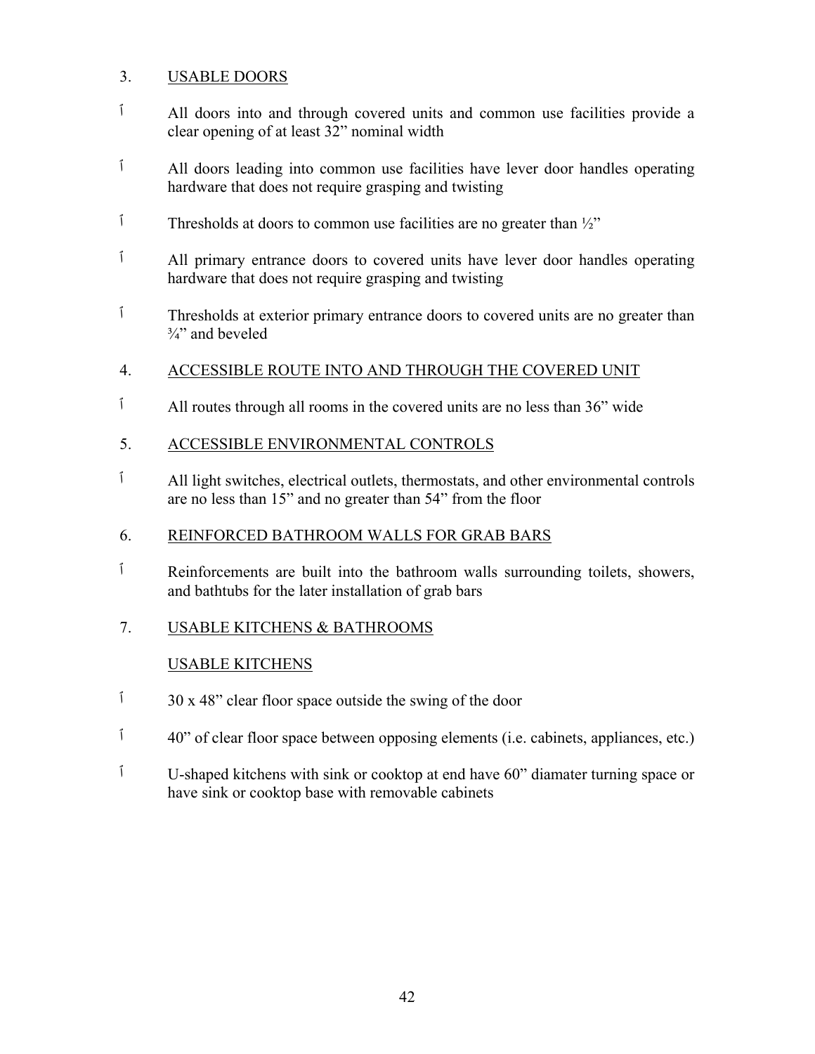## 3. USABLE DOORS

- ٱ All doors into and through covered units and common use facilities provide a clear opening of at least 32" nominal width
- ٱ All doors leading into common use facilities have lever door handles operating hardware that does not require grasping and twisting
- $\hat{1}$  Thresholds at doors to common use facilities are no greater than  $\frac{1}{2}$ "
- ٱ All primary entrance doors to covered units have lever door handles operating hardware that does not require grasping and twisting
- ٱ Thresholds at exterior primary entrance doors to covered units are no greater than  $\frac{3}{4}$ " and beveled
- 4. ACCESSIBLE ROUTE INTO AND THROUGH THE COVERED UNIT
- ٱ All routes through all rooms in the covered units are no less than 36" wide
- 5. ACCESSIBLE ENVIRONMENTAL CONTROLS
- ٱ All light switches, electrical outlets, thermostats, and other environmental controls are no less than 15" and no greater than 54" from the floor

## 6. REINFORCED BATHROOM WALLS FOR GRAB BARS

- ٱ Reinforcements are built into the bathroom walls surrounding toilets, showers, and bathtubs for the later installation of grab bars
- 7. USABLE KITCHENS & BATHROOMS

# USABLE KITCHENS

- $\frac{1}{20}$  30 x 48" clear floor space outside the swing of the door
- ٱ 40 "of clear floor space between opposing elements (i.e. cabinets, appliances, etc.)
- ٱ U-shaped kitchens with sink or cooktop at end have 60" diamater turning space or have sink or cooktop base with removable cabinets